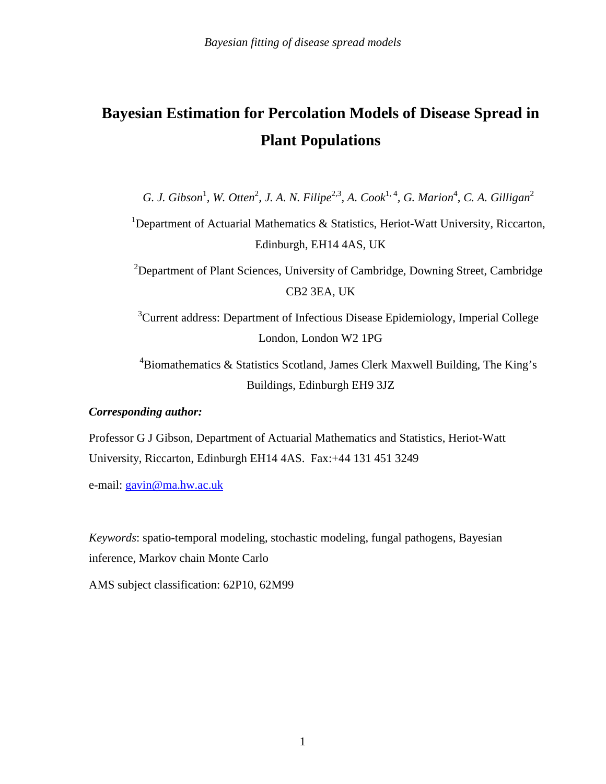# **Bayesian Estimation for Percolation Models of Disease Spread in Plant Populations**

*G. J. Gibson*<sup>1</sup>, *W. Otten*<sup>2</sup>, *J. A. N. Filipe*<sup>2,3</sup>, *A. Cook*<sup>1, 4</sup>, *G. Marion*<sup>4</sup>, *C. A. Gilligan*<sup>2</sup>

<sup>1</sup>Department of Actuarial Mathematics  $\&$  Statistics, Heriot-Watt University, Riccarton, Edinburgh, EH14 4AS, UK

<sup>2</sup>Department of Plant Sciences, University of Cambridge, Downing Street, Cambridge CB2 3EA, UK

<sup>3</sup>Current address: Department of Infectious Disease Epidemiology, Imperial College London, London W2 1PG

<sup>4</sup>Biomathematics & Statistics Scotland, James Clerk Maxwell Building, The King's Buildings, Edinburgh EH9 3JZ

## *Corresponding author:*

Professor G J Gibson, Department of Actuarial Mathematics and Statistics, Heriot-Watt University, Riccarton, Edinburgh EH14 4AS. Fax:+44 131 451 3249

e-mail: gavin@ma.hw.ac.uk

*Keywords*: spatio-temporal modeling, stochastic modeling, fungal pathogens, Bayesian inference, Markov chain Monte Carlo

AMS subject classification: 62P10, 62M99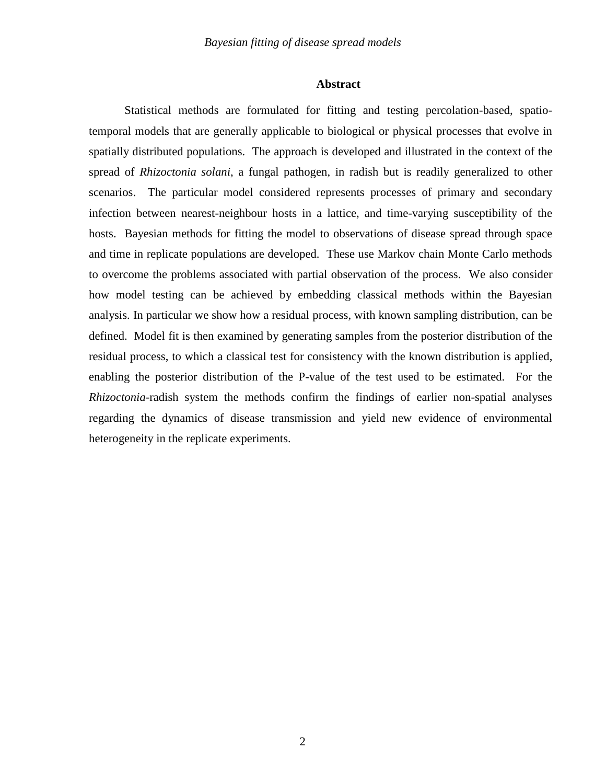### **Abstract**

Statistical methods are formulated for fitting and testing percolation-based, spatiotemporal models that are generally applicable to biological or physical processes that evolve in spatially distributed populations. The approach is developed and illustrated in the context of the spread of *Rhizoctonia solani*, a fungal pathogen, in radish but is readily generalized to other scenarios. The particular model considered represents processes of primary and secondary infection between nearest-neighbour hosts in a lattice, and time-varying susceptibility of the hosts. Bayesian methods for fitting the model to observations of disease spread through space and time in replicate populations are developed. These use Markov chain Monte Carlo methods to overcome the problems associated with partial observation of the process. We also consider how model testing can be achieved by embedding classical methods within the Bayesian analysis. In particular we show how a residual process, with known sampling distribution, can be defined. Model fit is then examined by generating samples from the posterior distribution of the residual process, to which a classical test for consistency with the known distribution is applied, enabling the posterior distribution of the P-value of the test used to be estimated. For the *Rhizoctonia*-radish system the methods confirm the findings of earlier non-spatial analyses regarding the dynamics of disease transmission and yield new evidence of environmental heterogeneity in the replicate experiments.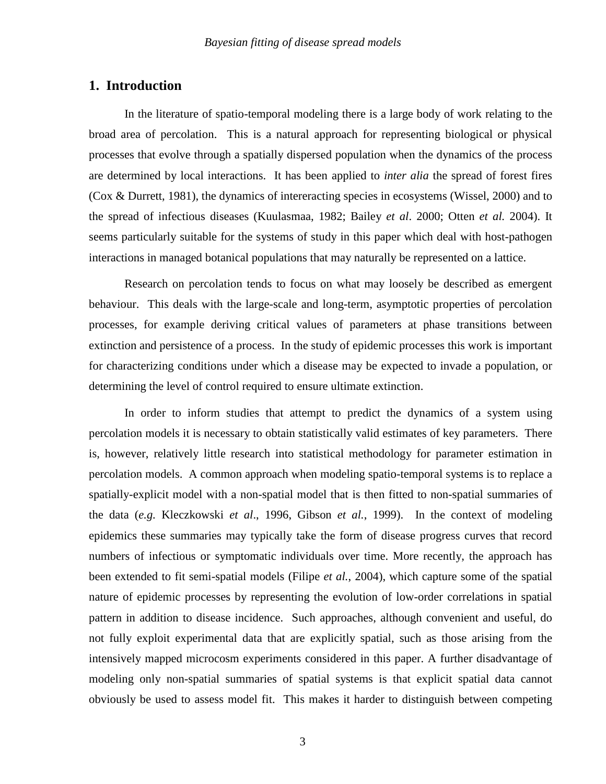### **1. Introduction**

In the literature of spatio-temporal modeling there is a large body of work relating to the broad area of percolation. This is a natural approach for representing biological or physical processes that evolve through a spatially dispersed population when the dynamics of the process are determined by local interactions. It has been applied to *inter alia* the spread of forest fires (Cox & Durrett, 1981), the dynamics of intereracting species in ecosystems (Wissel, 2000) and to the spread of infectious diseases (Kuulasmaa, 1982; Bailey *et al*. 2000; Otten *et al.* 2004). It seems particularly suitable for the systems of study in this paper which deal with host-pathogen interactions in managed botanical populations that may naturally be represented on a lattice.

Research on percolation tends to focus on what may loosely be described as emergent behaviour. This deals with the large-scale and long-term, asymptotic properties of percolation processes, for example deriving critical values of parameters at phase transitions between extinction and persistence of a process. In the study of epidemic processes this work is important for characterizing conditions under which a disease may be expected to invade a population, or determining the level of control required to ensure ultimate extinction.

In order to inform studies that attempt to predict the dynamics of a system using percolation models it is necessary to obtain statistically valid estimates of key parameters. There is, however, relatively little research into statistical methodology for parameter estimation in percolation models. A common approach when modeling spatio-temporal systems is to replace a spatially-explicit model with a non-spatial model that is then fitted to non-spatial summaries of the data (*e.g.* Kleczkowski *et al*., 1996, Gibson *et al.*, 1999). In the context of modeling epidemics these summaries may typically take the form of disease progress curves that record numbers of infectious or symptomatic individuals over time. More recently, the approach has been extended to fit semi-spatial models (Filipe *et al.*, 2004), which capture some of the spatial nature of epidemic processes by representing the evolution of low-order correlations in spatial pattern in addition to disease incidence. Such approaches, although convenient and useful, do not fully exploit experimental data that are explicitly spatial, such as those arising from the intensively mapped microcosm experiments considered in this paper. A further disadvantage of modeling only non-spatial summaries of spatial systems is that explicit spatial data cannot obviously be used to assess model fit. This makes it harder to distinguish between competing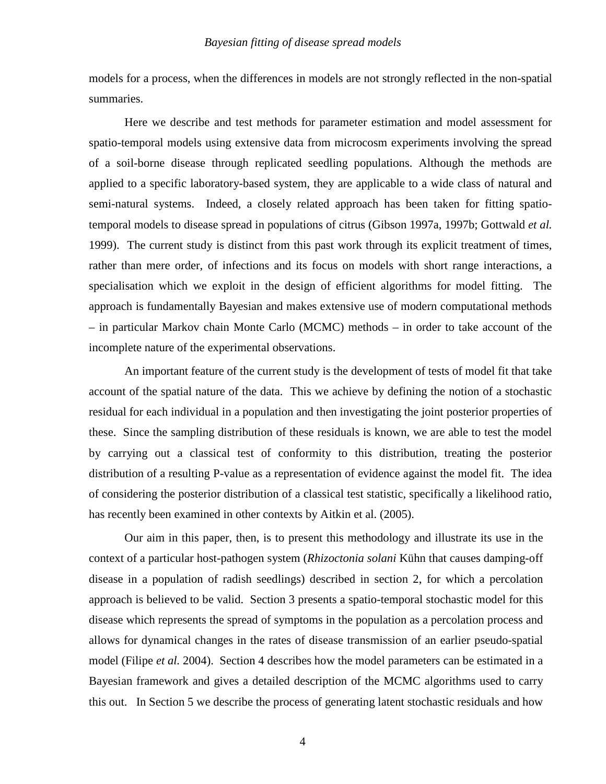models for a process, when the differences in models are not strongly reflected in the non-spatial summaries.

Here we describe and test methods for parameter estimation and model assessment for spatio-temporal models using extensive data from microcosm experiments involving the spread of a soil-borne disease through replicated seedling populations. Although the methods are applied to a specific laboratory-based system, they are applicable to a wide class of natural and semi-natural systems. Indeed, a closely related approach has been taken for fitting spatiotemporal models to disease spread in populations of citrus (Gibson 1997a, 1997b; Gottwald *et al.* 1999). The current study is distinct from this past work through its explicit treatment of times, rather than mere order, of infections and its focus on models with short range interactions, a specialisation which we exploit in the design of efficient algorithms for model fitting. The approach is fundamentally Bayesian and makes extensive use of modern computational methods – in particular Markov chain Monte Carlo (MCMC) methods – in order to take account of the incomplete nature of the experimental observations.

An important feature of the current study is the development of tests of model fit that take account of the spatial nature of the data. This we achieve by defining the notion of a stochastic residual for each individual in a population and then investigating the joint posterior properties of these. Since the sampling distribution of these residuals is known, we are able to test the model by carrying out a classical test of conformity to this distribution, treating the posterior distribution of a resulting P-value as a representation of evidence against the model fit. The idea of considering the posterior distribution of a classical test statistic, specifically a likelihood ratio, has recently been examined in other contexts by Aitkin et al. (2005).

Our aim in this paper, then, is to present this methodology and illustrate its use in the context of a particular host-pathogen system (*Rhizoctonia solani* Kühn that causes damping-off disease in a population of radish seedlings) described in section 2, for which a percolation approach is believed to be valid. Section 3 presents a spatio-temporal stochastic model for this disease which represents the spread of symptoms in the population as a percolation process and allows for dynamical changes in the rates of disease transmission of an earlier pseudo-spatial model (Filipe *et al.* 2004). Section 4 describes how the model parameters can be estimated in a Bayesian framework and gives a detailed description of the MCMC algorithms used to carry this out. In Section 5 we describe the process of generating latent stochastic residuals and how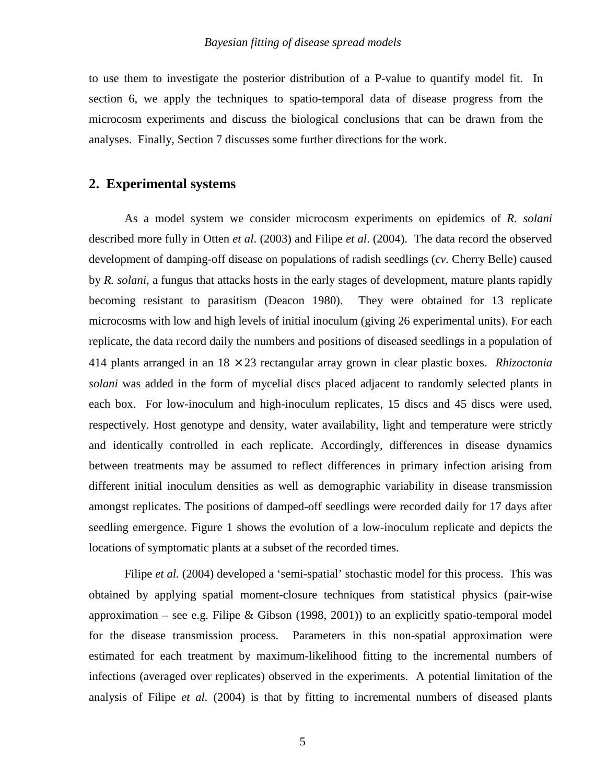to use them to investigate the posterior distribution of a P-value to quantify model fit. In section 6, we apply the techniques to spatio-temporal data of disease progress from the microcosm experiments and discuss the biological conclusions that can be drawn from the analyses. Finally, Section 7 discusses some further directions for the work.

# **2. Experimental systems**

As a model system we consider microcosm experiments on epidemics of *R. solani* described more fully in Otten *et al*. (2003) and Filipe *et al*. (2004). The data record the observed development of damping-off disease on populations of radish seedlings (*cv.* Cherry Belle) caused by *R. solani*, a fungus that attacks hosts in the early stages of development, mature plants rapidly becoming resistant to parasitism (Deacon 1980). They were obtained for 13 replicate microcosms with low and high levels of initial inoculum (giving 26 experimental units). For each replicate, the data record daily the numbers and positions of diseased seedlings in a population of 414 plants arranged in an 18 × 23 rectangular array grown in clear plastic boxes. *Rhizoctonia solani* was added in the form of mycelial discs placed adjacent to randomly selected plants in each box. For low-inoculum and high-inoculum replicates, 15 discs and 45 discs were used, respectively. Host genotype and density, water availability, light and temperature were strictly and identically controlled in each replicate. Accordingly, differences in disease dynamics between treatments may be assumed to reflect differences in primary infection arising from different initial inoculum densities as well as demographic variability in disease transmission amongst replicates. The positions of damped-off seedlings were recorded daily for 17 days after seedling emergence. Figure 1 shows the evolution of a low-inoculum replicate and depicts the locations of symptomatic plants at a subset of the recorded times.

Filipe *et al.* (2004) developed a 'semi-spatial' stochastic model for this process. This was obtained by applying spatial moment-closure techniques from statistical physics (pair-wise approximation – see e.g. Filipe & Gibson (1998, 2001)) to an explicitly spatio-temporal model for the disease transmission process. Parameters in this non-spatial approximation were estimated for each treatment by maximum-likelihood fitting to the incremental numbers of infections (averaged over replicates) observed in the experiments. A potential limitation of the analysis of Filipe *et al.* (2004) is that by fitting to incremental numbers of diseased plants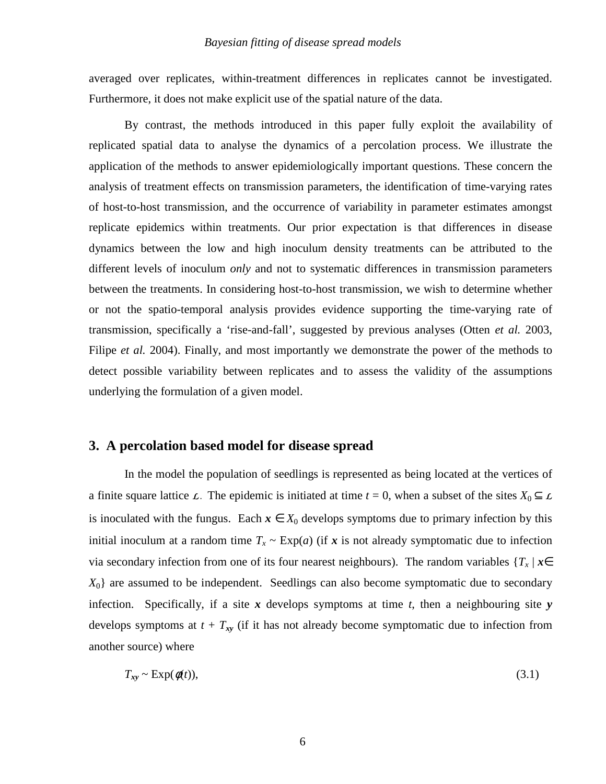#### *Bayesian fitting of disease spread models*

averaged over replicates, within-treatment differences in replicates cannot be investigated. Furthermore, it does not make explicit use of the spatial nature of the data.

By contrast, the methods introduced in this paper fully exploit the availability of replicated spatial data to analyse the dynamics of a percolation process. We illustrate the application of the methods to answer epidemiologically important questions. These concern the analysis of treatment effects on transmission parameters, the identification of time-varying rates of host-to-host transmission, and the occurrence of variability in parameter estimates amongst replicate epidemics within treatments. Our prior expectation is that differences in disease dynamics between the low and high inoculum density treatments can be attributed to the different levels of inoculum *only* and not to systematic differences in transmission parameters between the treatments. In considering host-to-host transmission, we wish to determine whether or not the spatio-temporal analysis provides evidence supporting the time-varying rate of transmission, specifically a 'rise-and-fall', suggested by previous analyses (Otten *et al.* 2003, Filipe *et al.* 2004). Finally, and most importantly we demonstrate the power of the methods to detect possible variability between replicates and to assess the validity of the assumptions underlying the formulation of a given model.

### **3. A percolation based model for disease spread**

In the model the population of seedlings is represented as being located at the vertices of a finite square lattice  $\mathcal{L}$ . The epidemic is initiated at time  $t = 0$ , when a subset of the sites  $X_0 \subseteq \mathcal{L}$ is inoculated with the fungus. Each  $x \in X_0$  develops symptoms due to primary infection by this initial inoculum at a random time  $T_x \sim \text{Exp}(a)$  (if x is not already symptomatic due to infection via secondary infection from one of its four nearest neighbours). The random variables  ${T_x | x \in \mathbb{R}^n}$ *X*0} are assumed to be independent. Seedlings can also become symptomatic due to secondary infection. Specifically, if a site  $x$  develops symptoms at time  $t$ , then a neighbouring site  $y$ develops symptoms at  $t + T_{xy}$  (if it has not already become symptomatic due to infection from another source) where

$$
T_{xy} \sim \text{Exp}(\phi(t)),\tag{3.1}
$$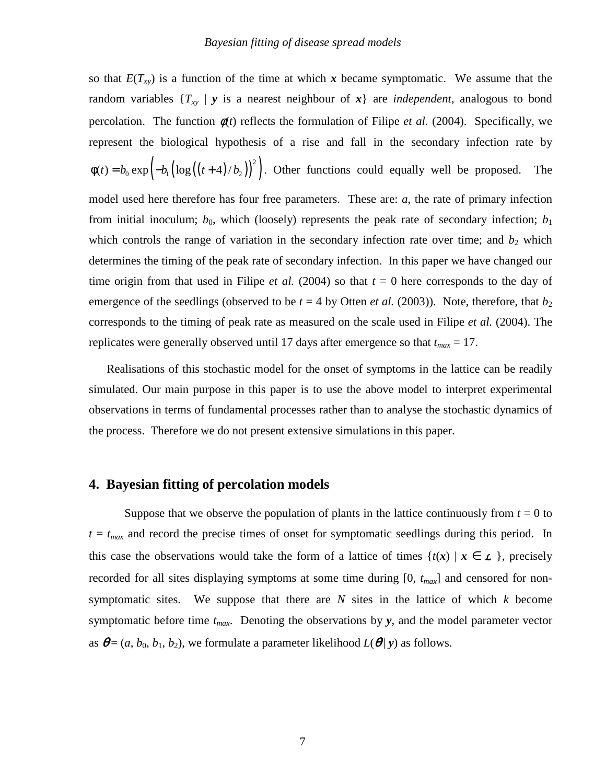so that  $E(T_{xy})$  is a function of the time at which x became symptomatic. We assume that the random variables  ${T_{xy} | y$  is a nearest neighbour of x are *independent*, analogous to bond percolation. The function φ(*t*) reflects the formulation of Filipe *et al.* (2004). Specifically, we represent the biological hypothesis of a rise and fall in the secondary infection rate by  $\phi(t) = b_0 \exp\left(-b_1 \left(\log\left(\frac{(t+4)}{b_2}\right)\right)^2\right)$ . Other functions could equally well be proposed. The model used here therefore has four free parameters. These are: *a*, the rate of primary infection from initial inoculum;  $b_0$ , which (loosely) represents the peak rate of secondary infection;  $b_1$ which controls the range of variation in the secondary infection rate over time; and  $b_2$  which determines the timing of the peak rate of secondary infection. In this paper we have changed our time origin from that used in Filipe *et al.* (2004) so that  $t = 0$  here corresponds to the day of emergence of the seedlings (observed to be  $t = 4$  by Otten *et al.* (2003)). Note, therefore, that  $b_2$ corresponds to the timing of peak rate as measured on the scale used in Filipe *et al.* (2004). The replicates were generally observed until 17 days after emergence so that *tmax* = 17.

Realisations of this stochastic model for the onset of symptoms in the lattice can be readily simulated. Our main purpose in this paper is to use the above model to interpret experimental observations in terms of fundamental processes rather than to analyse the stochastic dynamics of the process. Therefore we do not present extensive simulations in this paper.

# **4. Bayesian fitting of percolation models**

Suppose that we observe the population of plants in the lattice continuously from  $t = 0$  to  $t = t_{max}$  and record the precise times of onset for symptomatic seedlings during this period. In this case the observations would take the form of a lattice of times  $\{t(x) | x \in L \}$ , precisely recorded for all sites displaying symptoms at some time during [0, *tmax*] and censored for nonsymptomatic sites. We suppose that there are *N* sites in the lattice of which *k* become symptomatic before time *tmax*. Denoting the observations by *y*, and the model parameter vector as  $\boldsymbol{\theta} = (a, b_0, b_1, b_2)$ , we formulate a parameter likelihood  $L(\boldsymbol{\theta} | y)$  as follows.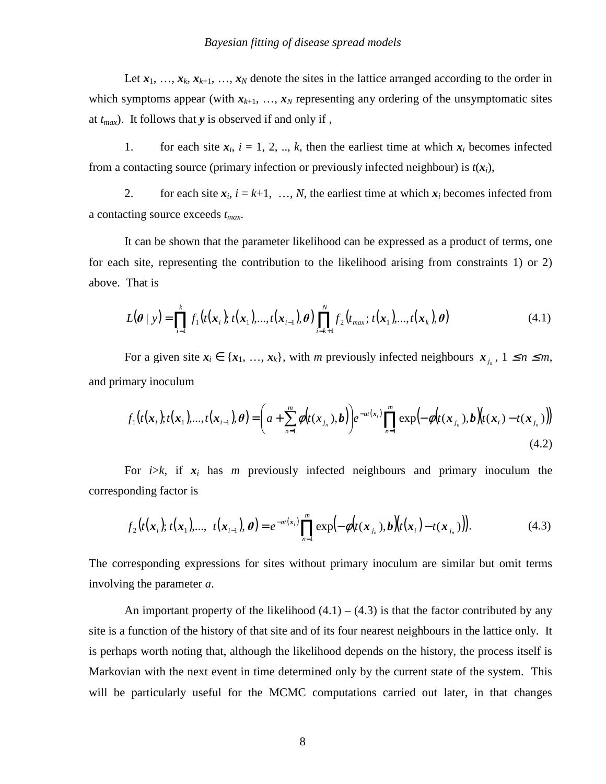### *Bayesian fitting of disease spread models*

Let  $x_1, \ldots, x_k, x_{k+1}, \ldots, x_N$  denote the sites in the lattice arranged according to the order in which symptoms appear (with  $x_{k+1}$ , ...,  $x_N$  representing any ordering of the unsymptomatic sites at *tmax*). It follows that *y* is observed if and only if ,

1. for each site  $x_i$ ,  $i = 1, 2, ..., k$ , then the earliest time at which  $x_i$  becomes infected from a contacting source (primary infection or previously infected neighbour) is  $t(x_i)$ ,

2. for each site  $x_i$ ,  $i = k+1, ..., N$ , the earliest time at which  $x_i$  becomes infected from a contacting source exceeds *tmax*.

It can be shown that the parameter likelihood can be expressed as a product of terms, one for each site, representing the contribution to the likelihood arising from constraints 1) or 2) above. That is

$$
L(\theta | y) = \prod_{i=1}^{k} f_1(t(\mathbf{x}_i); t(\mathbf{x}_1), ..., t(\mathbf{x}_{i-1}), \theta) \prod_{i=k+1}^{N} f_2(t_{max}; t(\mathbf{x}_1), ..., t(\mathbf{x}_k), \theta)
$$
(4.1)

For a given site  $x_i \in \{x_1, ..., x_k\}$ , with *m* previously infected neighbours  $x_{i_n}$ ,  $1 \le n \le m$ , and primary inoculum

$$
f_1(t(\mathbf{x}_i); t(\mathbf{x}_1),..., t(\mathbf{x}_{i-1}), \theta) = \left(a + \sum_{n=1}^m \phi(t(x_{j_n}), b)\right) e^{-at(\mathbf{x}_i)} \prod_{n=1}^m \exp\left(-\phi(t(\mathbf{x}_{j_n}), b)(t(\mathbf{x}_i) - t(\mathbf{x}_{j_n}))\right)
$$
\n(4.2)

For  $i > k$ , if  $x_i$  has *m* previously infected neighbours and primary inoculum the corresponding factor is

$$
f_2(t(\mathbf{x}_i); t(\mathbf{x}_1), \dots, t(\mathbf{x}_{i-1}), \theta) = e^{-at(\mathbf{x}_i)} \prod_{n=1}^m \exp\bigl(-\phi\bigl(t(\mathbf{x}_{j_n}), b\bigl)\bigl(t(\mathbf{x}_i) - t(\mathbf{x}_{j_n})\bigr)\bigr).
$$
 (4.3)

The corresponding expressions for sites without primary inoculum are similar but omit terms involving the parameter *a*.

An important property of the likelihood  $(4.1) - (4.3)$  is that the factor contributed by any site is a function of the history of that site and of its four nearest neighbours in the lattice only. It is perhaps worth noting that, although the likelihood depends on the history, the process itself is Markovian with the next event in time determined only by the current state of the system. This will be particularly useful for the MCMC computations carried out later, in that changes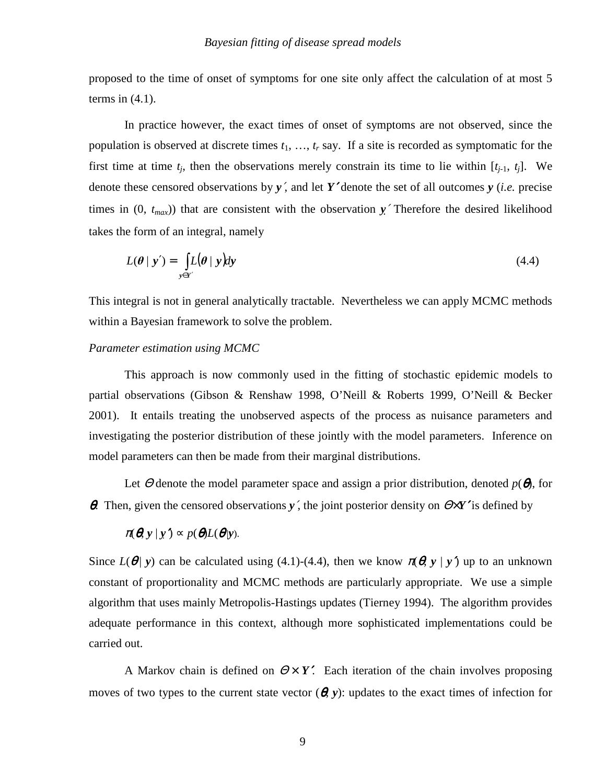proposed to the time of onset of symptoms for one site only affect the calculation of at most 5 terms in  $(4.1)$ .

In practice however, the exact times of onset of symptoms are not observed, since the population is observed at discrete times  $t_1, \ldots, t_r$  say. If a site is recorded as symptomatic for the first time at time  $t_j$ , then the observations merely constrain its time to lie within  $[t_{j-1}, t_j]$ . We denote these censored observations by *y*′, and let *Y*′ denote the set of all outcomes *y* (*i.e.* precise times in  $(0, t_{max})$  that are consistent with the observation *y*' Therefore the desired likelihood takes the form of an integral, namely

$$
L(\theta \mid y') = \int_{y \in Y'} L(\theta \mid y) dy \tag{4.4}
$$

This integral is not in general analytically tractable. Nevertheless we can apply MCMC methods within a Bayesian framework to solve the problem.

### *Parameter estimation using MCMC*

This approach is now commonly used in the fitting of stochastic epidemic models to partial observations (Gibson & Renshaw 1998, O'Neill & Roberts 1999, O'Neill & Becker 2001). It entails treating the unobserved aspects of the process as nuisance parameters and investigating the posterior distribution of these jointly with the model parameters. Inference on model parameters can then be made from their marginal distributions.

Let  $\Theta$  denote the model parameter space and assign a prior distribution, denoted  $p(\theta)$ , for θ. Then, given the censored observations *y*′, the joint posterior density on Θ×*Y*′ is defined by

$$
\pi(\boldsymbol{\theta},\mathbf{y} \mid \mathbf{y}) \propto p(\boldsymbol{\theta})L(\boldsymbol{\theta} \mid \mathbf{y}).
$$

Since  $L(\theta | y)$  can be calculated using (4.1)-(4.4), then we know  $\pi(\theta, y | y')$  up to an unknown constant of proportionality and MCMC methods are particularly appropriate. We use a simple algorithm that uses mainly Metropolis-Hastings updates (Tierney 1994). The algorithm provides adequate performance in this context, although more sophisticated implementations could be carried out.

A Markov chain is defined on  $\Theta \times Y'$ . Each iteration of the chain involves proposing moves of two types to the current state vector  $(\theta, y)$ : updates to the exact times of infection for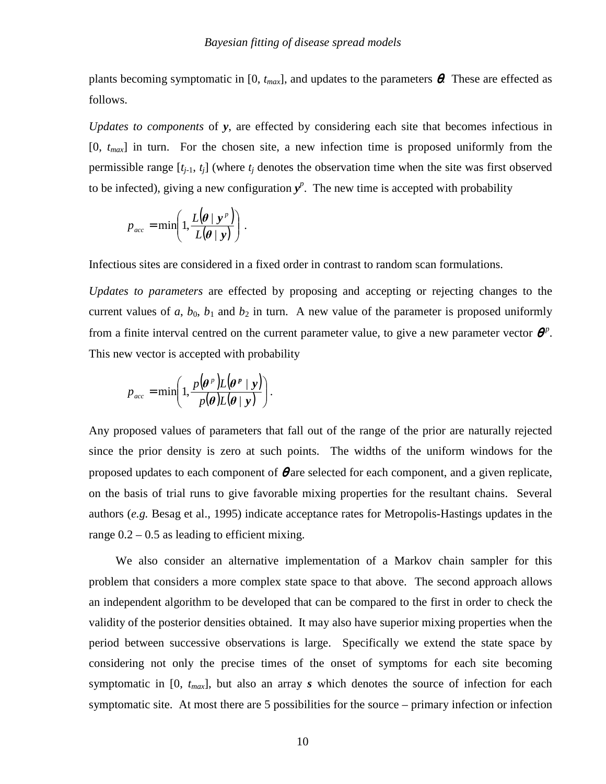plants becoming symptomatic in [0,  $t_{max}$ ], and updates to the parameters  $\theta$ . These are effected as follows.

*Updates to components* of *y*, are effected by considering each site that becomes infectious in [0, *tmax*] in turn. For the chosen site, a new infection time is proposed uniformly from the permissible range  $[t_{j-1}, t_j]$  (where  $t_j$  denotes the observation time when the site was first observed to be infected), giving a new configuration  $y^p$ . The new time is accepted with probability

$$
p_{acc} = \min\!\left(1, \frac{L(\theta \mid y^p)}{L(\theta \mid y)}\right).
$$

Infectious sites are considered in a fixed order in contrast to random scan formulations.

*Updates to parameters* are effected by proposing and accepting or rejecting changes to the current values of  $a$ ,  $b_0$ ,  $b_1$  and  $b_2$  in turn. A new value of the parameter is proposed uniformly from a finite interval centred on the current parameter value, to give a new parameter vector  $\theta^p$ . This new vector is accepted with probability

$$
p_{acc} = \min\left(1, \frac{p(\boldsymbol{\theta}^{\,p})L(\boldsymbol{\theta}^{\,p} \mid \mathbf{y})}{p(\boldsymbol{\theta})L(\boldsymbol{\theta} \mid \mathbf{y})}\right).
$$

Any proposed values of parameters that fall out of the range of the prior are naturally rejected since the prior density is zero at such points. The widths of the uniform windows for the proposed updates to each component of  $\theta$  are selected for each component, and a given replicate, on the basis of trial runs to give favorable mixing properties for the resultant chains. Several authors (*e.g.* Besag et al., 1995) indicate acceptance rates for Metropolis-Hastings updates in the range  $0.2 - 0.5$  as leading to efficient mixing.

We also consider an alternative implementation of a Markov chain sampler for this problem that considers a more complex state space to that above. The second approach allows an independent algorithm to be developed that can be compared to the first in order to check the validity of the posterior densities obtained. It may also have superior mixing properties when the period between successive observations is large. Specifically we extend the state space by considering not only the precise times of the onset of symptoms for each site becoming symptomatic in [0, *tmax*], but also an array *s* which denotes the source of infection for each symptomatic site. At most there are 5 possibilities for the source – primary infection or infection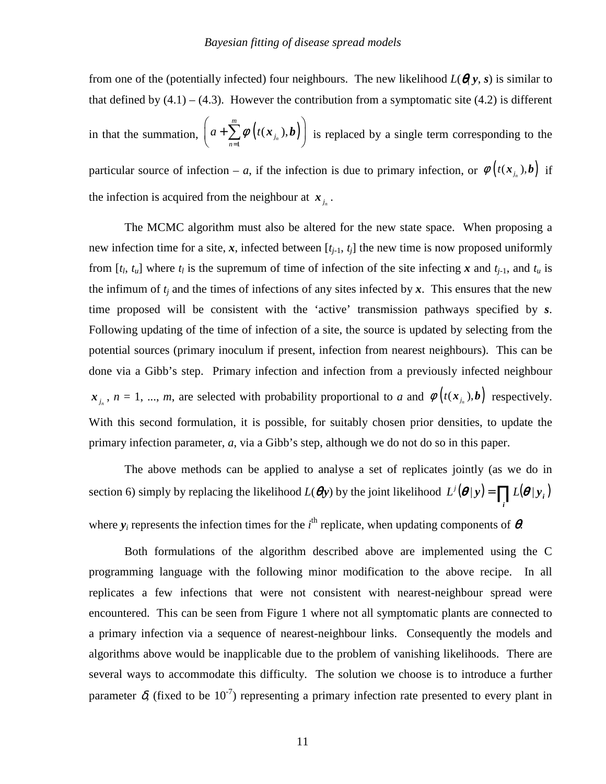from one of the (potentially infected) four neighbours. The new likelihood  $L(\theta, y, s)$  is similar to that defined by  $(4.1) - (4.3)$ . However the contribution from a symptomatic site  $(4.2)$  is different in that the summation,  $\left(a + \sum_{n=1}^{m} \phi\left(t(\mathbf{x}_{i_n}), \mathbf{b}\right)\right)$  $(x_{j_{n}}),$ *m j n*  $a + \sum \phi$  (t =  $\left(a+\sum_{n=1}^{m} \phi\left(t(x_{j_n}),b\right)\right)$  is replaced by a single term corresponding to the particular source of infection – *a*, if the infection is due to primary infection, or  $\phi \left( t(x_{i_n}), b \right)$  if the infection is acquired from the neighbour at  $x_{i_n}$ .

The MCMC algorithm must also be altered for the new state space. When proposing a new infection time for a site,  $x$ , infected between  $[t_{j-1}, t_j]$  the new time is now proposed uniformly from  $[t_l, t_u]$  where  $t_l$  is the supremum of time of infection of the site infecting *x* and  $t_{j-1}$ , and  $t_u$  is the infimum of  $t_j$  and the times of infections of any sites infected by  $x$ . This ensures that the new time proposed will be consistent with the 'active' transmission pathways specified by *s*. Following updating of the time of infection of a site, the source is updated by selecting from the potential sources (primary inoculum if present, infection from nearest neighbours). This can be done via a Gibb's step. Primary infection and infection from a previously infected neighbour  $x_{j_n}$ ,  $n = 1, ..., m$ , are selected with probability proportional to *a* and  $\phi\left(t(x_{j_n}), b\right)$  respectively. With this second formulation, it is possible, for suitably chosen prior densities, to update the primary infection parameter, *a*, via a Gibb's step, although we do not do so in this paper.

The above methods can be applied to analyse a set of replicates jointly (as we do in section 6) simply by replacing the likelihood  $L(\theta y)$  by the joint likelihood  $L^j(\theta/y) = \prod_i L(\theta/y_i)$  $L^j(\boldsymbol{\theta}|{\bf y}) = \prod L(\boldsymbol{\theta}|{\bf y}_i)$ 

where  $y_i$  represents the infection times for the *i*<sup>th</sup> replicate, when updating components of  $\theta$ .

Both formulations of the algorithm described above are implemented using the C programming language with the following minor modification to the above recipe. In all replicates a few infections that were not consistent with nearest-neighbour spread were encountered. This can be seen from Figure 1 where not all symptomatic plants are connected to a primary infection via a sequence of nearest-neighbour links. Consequently the models and algorithms above would be inapplicable due to the problem of vanishing likelihoods. There are several ways to accommodate this difficulty. The solution we choose is to introduce a further parameter  $\delta$ , (fixed to be  $10^{-7}$ ) representing a primary infection rate presented to every plant in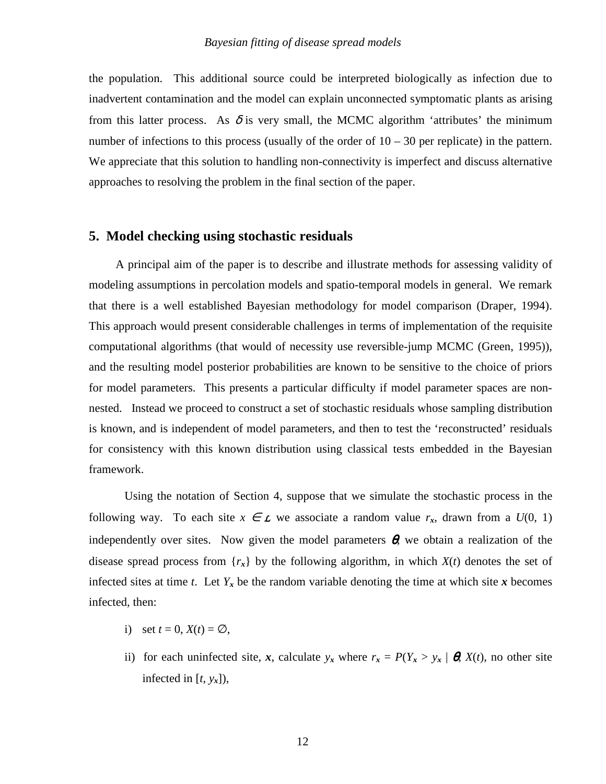the population. This additional source could be interpreted biologically as infection due to inadvertent contamination and the model can explain unconnected symptomatic plants as arising from this latter process. As  $\delta$  is very small, the MCMC algorithm 'attributes' the minimum number of infections to this process (usually of the order of  $10 - 30$  per replicate) in the pattern. We appreciate that this solution to handling non-connectivity is imperfect and discuss alternative approaches to resolving the problem in the final section of the paper.

# **5. Model checking using stochastic residuals**

A principal aim of the paper is to describe and illustrate methods for assessing validity of modeling assumptions in percolation models and spatio-temporal models in general. We remark that there is a well established Bayesian methodology for model comparison (Draper, 1994). This approach would present considerable challenges in terms of implementation of the requisite computational algorithms (that would of necessity use reversible-jump MCMC (Green, 1995)), and the resulting model posterior probabilities are known to be sensitive to the choice of priors for model parameters. This presents a particular difficulty if model parameter spaces are nonnested. Instead we proceed to construct a set of stochastic residuals whose sampling distribution is known, and is independent of model parameters, and then to test the 'reconstructed' residuals for consistency with this known distribution using classical tests embedded in the Bayesian framework.

Using the notation of Section 4, suppose that we simulate the stochastic process in the following way. To each site  $x \in L$  we associate a random value  $r_x$ , drawn from a  $U(0, 1)$ independently over sites. Now given the model parameters  $\theta$ , we obtain a realization of the disease spread process from  $\{r_x\}$  by the following algorithm, in which  $X(t)$  denotes the set of infected sites at time  $t$ . Let  $Y_x$  be the random variable denoting the time at which site  $x$  becomes infected*,* then:

- i) set  $t = 0$ ,  $X(t) = \emptyset$ ,
- ii) for each uninfected site, *x*, calculate  $y_x$  where  $r_x = P(Y_x > y_x | \theta, X(t))$ , no other site infected in  $[t, y_x]$ ),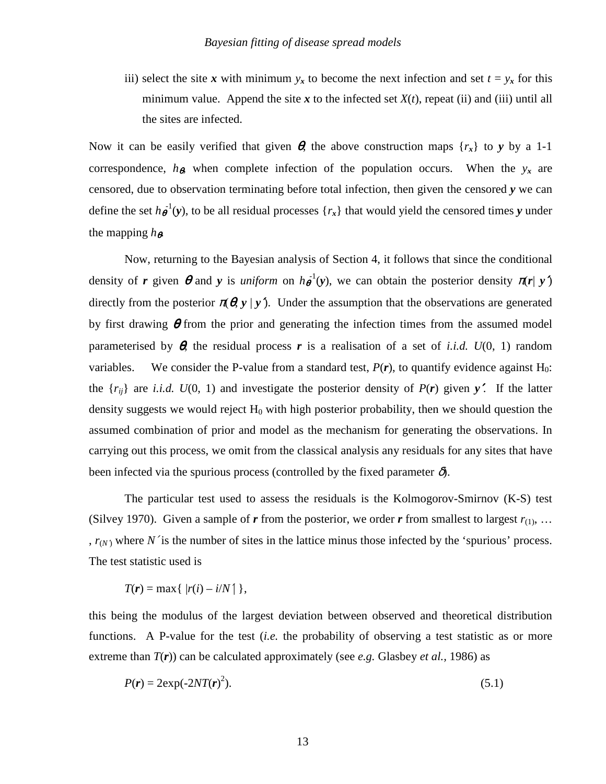iii) select the site x with minimum  $y_x$  to become the next infection and set  $t = y_x$  for this minimum value. Append the site  $x$  to the infected set  $X(t)$ , repeat (ii) and (iii) until all the sites are infected.

Now it can be easily verified that given  $\theta$ , the above construction maps  $\{r_x\}$  to *y* by a 1-1 correspondence,  $h_{\theta}$ , when complete infection of the population occurs. When the  $y_x$  are censored, due to observation terminating before total infection, then given the censored *y* we can define the set  $h \phi^1(y)$ , to be all residual processes  $\{r_x\}$  that would yield the censored times *y* under the mapping  $h_{\theta}$ .

Now, returning to the Bayesian analysis of Section 4, it follows that since the conditional density of *r* given  $\theta$  and *y* is *uniform* on  $h_{\theta}^{-1}(y)$ , we can obtain the posterior density  $\pi(r|y')$ directly from the posterior  $\pi(\theta, y \mid y')$ . Under the assumption that the observations are generated by first drawing  $\theta$  from the prior and generating the infection times from the assumed model parameterised by  $\theta$ , the residual process r is a realisation of a set of *i.i.d.*  $U(0, 1)$  random variables. We consider the P-value from a standard test,  $P(r)$ , to quantify evidence against  $H_0$ : the  $\{r_{ij}\}\$ are *i.i.d.*  $U(0, 1)$  and investigate the posterior density of  $P(r)$  given  $y'$ . If the latter density suggests we would reject  $H_0$  with high posterior probability, then we should question the assumed combination of prior and model as the mechanism for generating the observations. In carrying out this process, we omit from the classical analysis any residuals for any sites that have been infected via the spurious process (controlled by the fixed parameter  $\delta$ ).

The particular test used to assess the residuals is the Kolmogorov-Smirnov (K-S) test (Silvey 1970). Given a sample of  $r$  from the posterior, we order  $r$  from smallest to largest  $r_{(1)}$ , ... ,  $r_{(N)}$  where  $N'$  is the number of sites in the lattice minus those infected by the 'spurious' process. The test statistic used is

 $T(r) = \max\{ |r(i) - i/N| \},\$ 

this being the modulus of the largest deviation between observed and theoretical distribution functions. A P-value for the test (*i.e.* the probability of observing a test statistic as or more extreme than *T*(*r*)) can be calculated approximately (see *e.g.* Glasbey *et al.,* 1986) as

$$
P(r) = 2\exp(-2NT(r)^2). \tag{5.1}
$$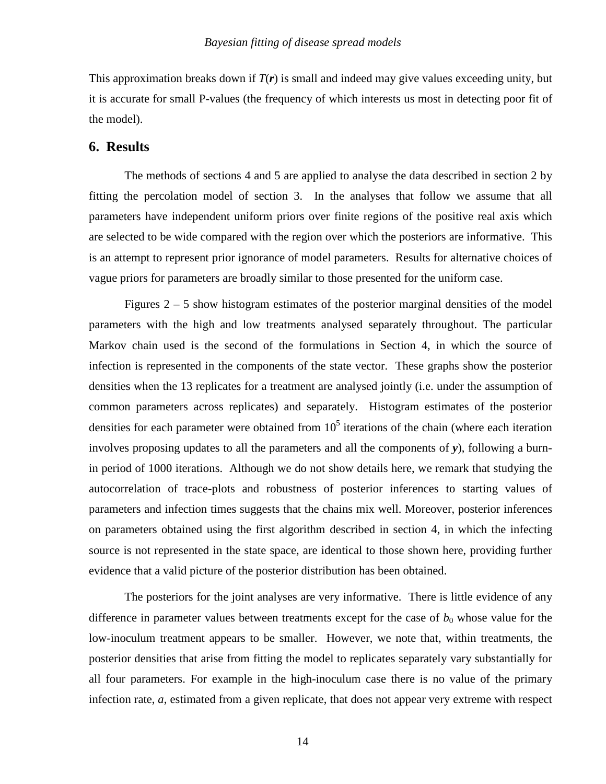This approximation breaks down if *T*(*r*) is small and indeed may give values exceeding unity, but it is accurate for small P-values (the frequency of which interests us most in detecting poor fit of the model).

# **6. Results**

The methods of sections 4 and 5 are applied to analyse the data described in section 2 by fitting the percolation model of section 3. In the analyses that follow we assume that all parameters have independent uniform priors over finite regions of the positive real axis which are selected to be wide compared with the region over which the posteriors are informative. This is an attempt to represent prior ignorance of model parameters. Results for alternative choices of vague priors for parameters are broadly similar to those presented for the uniform case.

Figures 2 – 5 show histogram estimates of the posterior marginal densities of the model parameters with the high and low treatments analysed separately throughout. The particular Markov chain used is the second of the formulations in Section 4, in which the source of infection is represented in the components of the state vector. These graphs show the posterior densities when the 13 replicates for a treatment are analysed jointly (i.e. under the assumption of common parameters across replicates) and separately. Histogram estimates of the posterior densities for each parameter were obtained from  $10<sup>5</sup>$  iterations of the chain (where each iteration involves proposing updates to all the parameters and all the components of *y*), following a burnin period of 1000 iterations. Although we do not show details here, we remark that studying the autocorrelation of trace-plots and robustness of posterior inferences to starting values of parameters and infection times suggests that the chains mix well. Moreover, posterior inferences on parameters obtained using the first algorithm described in section 4, in which the infecting source is not represented in the state space, are identical to those shown here, providing further evidence that a valid picture of the posterior distribution has been obtained.

The posteriors for the joint analyses are very informative. There is little evidence of any difference in parameter values between treatments except for the case of  $b_0$  whose value for the low-inoculum treatment appears to be smaller. However, we note that, within treatments, the posterior densities that arise from fitting the model to replicates separately vary substantially for all four parameters. For example in the high-inoculum case there is no value of the primary infection rate, *a*, estimated from a given replicate, that does not appear very extreme with respect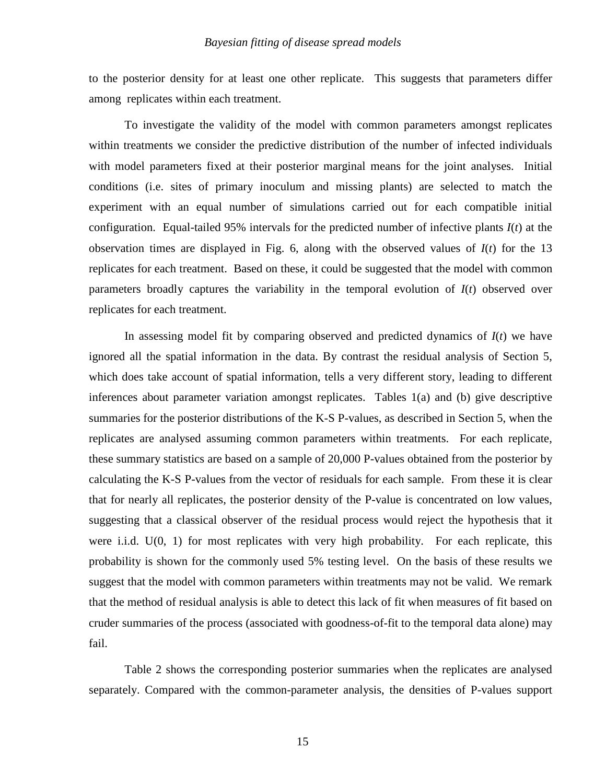to the posterior density for at least one other replicate. This suggests that parameters differ among replicates within each treatment.

To investigate the validity of the model with common parameters amongst replicates within treatments we consider the predictive distribution of the number of infected individuals with model parameters fixed at their posterior marginal means for the joint analyses. Initial conditions (i.e. sites of primary inoculum and missing plants) are selected to match the experiment with an equal number of simulations carried out for each compatible initial configuration. Equal-tailed 95% intervals for the predicted number of infective plants *I*(*t*) at the observation times are displayed in Fig. 6, along with the observed values of *I*(*t*) for the 13 replicates for each treatment. Based on these, it could be suggested that the model with common parameters broadly captures the variability in the temporal evolution of *I*(*t*) observed over replicates for each treatment.

In assessing model fit by comparing observed and predicted dynamics of  $I(t)$  we have ignored all the spatial information in the data. By contrast the residual analysis of Section 5, which does take account of spatial information, tells a very different story, leading to different inferences about parameter variation amongst replicates. Tables 1(a) and (b) give descriptive summaries for the posterior distributions of the K-S P-values, as described in Section 5, when the replicates are analysed assuming common parameters within treatments. For each replicate, these summary statistics are based on a sample of 20,000 P-values obtained from the posterior by calculating the K-S P-values from the vector of residuals for each sample. From these it is clear that for nearly all replicates, the posterior density of the P-value is concentrated on low values, suggesting that a classical observer of the residual process would reject the hypothesis that it were i.i.d.  $U(0, 1)$  for most replicates with very high probability. For each replicate, this probability is shown for the commonly used 5% testing level. On the basis of these results we suggest that the model with common parameters within treatments may not be valid. We remark that the method of residual analysis is able to detect this lack of fit when measures of fit based on cruder summaries of the process (associated with goodness-of-fit to the temporal data alone) may fail.

Table 2 shows the corresponding posterior summaries when the replicates are analysed separately. Compared with the common-parameter analysis, the densities of P-values support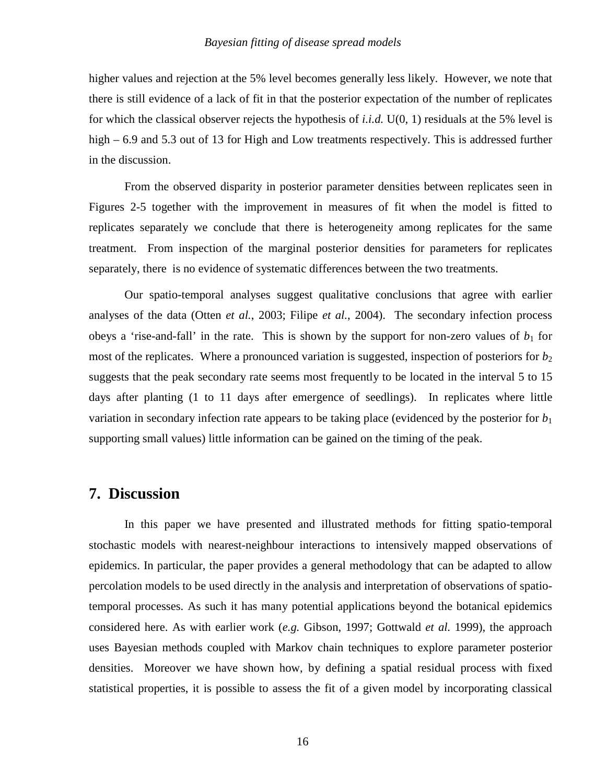higher values and rejection at the 5% level becomes generally less likely. However, we note that there is still evidence of a lack of fit in that the posterior expectation of the number of replicates for which the classical observer rejects the hypothesis of *i.i.d.* U(0, 1) residuals at the 5% level is high – 6.9 and 5.3 out of 13 for High and Low treatments respectively. This is addressed further in the discussion.

From the observed disparity in posterior parameter densities between replicates seen in Figures 2-5 together with the improvement in measures of fit when the model is fitted to replicates separately we conclude that there is heterogeneity among replicates for the same treatment. From inspection of the marginal posterior densities for parameters for replicates separately, there is no evidence of systematic differences between the two treatments.

Our spatio-temporal analyses suggest qualitative conclusions that agree with earlier analyses of the data (Otten *et al.*, 2003; Filipe *et al.*, 2004). The secondary infection process obeys a 'rise-and-fall' in the rate. This is shown by the support for non-zero values of  $b_1$  for most of the replicates. Where a pronounced variation is suggested, inspection of posteriors for  $b_2$ suggests that the peak secondary rate seems most frequently to be located in the interval 5 to 15 days after planting (1 to 11 days after emergence of seedlings). In replicates where little variation in secondary infection rate appears to be taking place (evidenced by the posterior for *b*<sup>1</sup> supporting small values) little information can be gained on the timing of the peak.

# **7. Discussion**

 In this paper we have presented and illustrated methods for fitting spatio-temporal stochastic models with nearest-neighbour interactions to intensively mapped observations of epidemics. In particular, the paper provides a general methodology that can be adapted to allow percolation models to be used directly in the analysis and interpretation of observations of spatiotemporal processes. As such it has many potential applications beyond the botanical epidemics considered here. As with earlier work (*e.g.* Gibson, 1997; Gottwald *et al.* 1999), the approach uses Bayesian methods coupled with Markov chain techniques to explore parameter posterior densities. Moreover we have shown how, by defining a spatial residual process with fixed statistical properties, it is possible to assess the fit of a given model by incorporating classical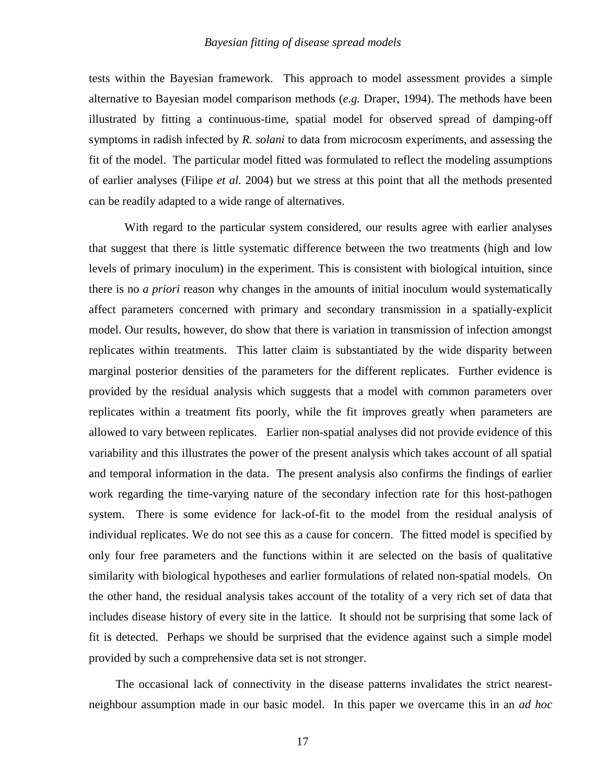tests within the Bayesian framework. This approach to model assessment provides a simple alternative to Bayesian model comparison methods (*e.g.* Draper, 1994). The methods have been illustrated by fitting a continuous-time, spatial model for observed spread of damping-off symptoms in radish infected by *R. solani* to data from microcosm experiments, and assessing the fit of the model. The particular model fitted was formulated to reflect the modeling assumptions of earlier analyses (Filipe *et al.* 2004) but we stress at this point that all the methods presented can be readily adapted to a wide range of alternatives.

With regard to the particular system considered, our results agree with earlier analyses that suggest that there is little systematic difference between the two treatments (high and low levels of primary inoculum) in the experiment. This is consistent with biological intuition, since there is no *a priori* reason why changes in the amounts of initial inoculum would systematically affect parameters concerned with primary and secondary transmission in a spatially-explicit model. Our results, however, do show that there is variation in transmission of infection amongst replicates within treatments. This latter claim is substantiated by the wide disparity between marginal posterior densities of the parameters for the different replicates. Further evidence is provided by the residual analysis which suggests that a model with common parameters over replicates within a treatment fits poorly, while the fit improves greatly when parameters are allowed to vary between replicates. Earlier non-spatial analyses did not provide evidence of this variability and this illustrates the power of the present analysis which takes account of all spatial and temporal information in the data. The present analysis also confirms the findings of earlier work regarding the time-varying nature of the secondary infection rate for this host-pathogen system. There is some evidence for lack-of-fit to the model from the residual analysis of individual replicates. We do not see this as a cause for concern. The fitted model is specified by only four free parameters and the functions within it are selected on the basis of qualitative similarity with biological hypotheses and earlier formulations of related non-spatial models. On the other hand, the residual analysis takes account of the totality of a very rich set of data that includes disease history of every site in the lattice. It should not be surprising that some lack of fit is detected. Perhaps we should be surprised that the evidence against such a simple model provided by such a comprehensive data set is not stronger.

The occasional lack of connectivity in the disease patterns invalidates the strict nearestneighbour assumption made in our basic model. In this paper we overcame this in an *ad hoc*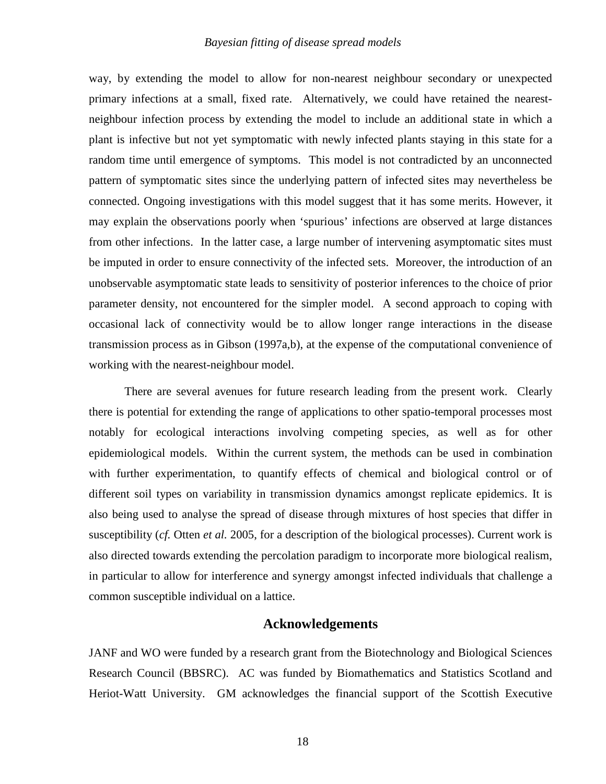#### *Bayesian fitting of disease spread models*

way, by extending the model to allow for non-nearest neighbour secondary or unexpected primary infections at a small, fixed rate. Alternatively, we could have retained the nearestneighbour infection process by extending the model to include an additional state in which a plant is infective but not yet symptomatic with newly infected plants staying in this state for a random time until emergence of symptoms. This model is not contradicted by an unconnected pattern of symptomatic sites since the underlying pattern of infected sites may nevertheless be connected. Ongoing investigations with this model suggest that it has some merits. However, it may explain the observations poorly when 'spurious' infections are observed at large distances from other infections. In the latter case, a large number of intervening asymptomatic sites must be imputed in order to ensure connectivity of the infected sets. Moreover, the introduction of an unobservable asymptomatic state leads to sensitivity of posterior inferences to the choice of prior parameter density, not encountered for the simpler model. A second approach to coping with occasional lack of connectivity would be to allow longer range interactions in the disease transmission process as in Gibson (1997a,b), at the expense of the computational convenience of working with the nearest-neighbour model.

There are several avenues for future research leading from the present work. Clearly there is potential for extending the range of applications to other spatio-temporal processes most notably for ecological interactions involving competing species, as well as for other epidemiological models. Within the current system, the methods can be used in combination with further experimentation, to quantify effects of chemical and biological control or of different soil types on variability in transmission dynamics amongst replicate epidemics. It is also being used to analyse the spread of disease through mixtures of host species that differ in susceptibility (*cf.* Otten *et al.* 2005, for a description of the biological processes). Current work is also directed towards extending the percolation paradigm to incorporate more biological realism, in particular to allow for interference and synergy amongst infected individuals that challenge a common susceptible individual on a lattice.

### **Acknowledgements**

JANF and WO were funded by a research grant from the Biotechnology and Biological Sciences Research Council (BBSRC). AC was funded by Biomathematics and Statistics Scotland and Heriot-Watt University. GM acknowledges the financial support of the Scottish Executive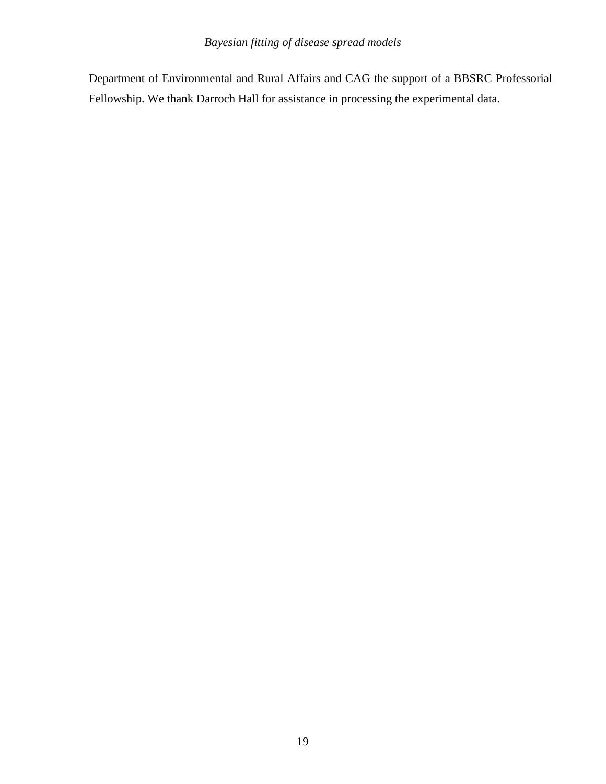Department of Environmental and Rural Affairs and CAG the support of a BBSRC Professorial Fellowship. We thank Darroch Hall for assistance in processing the experimental data.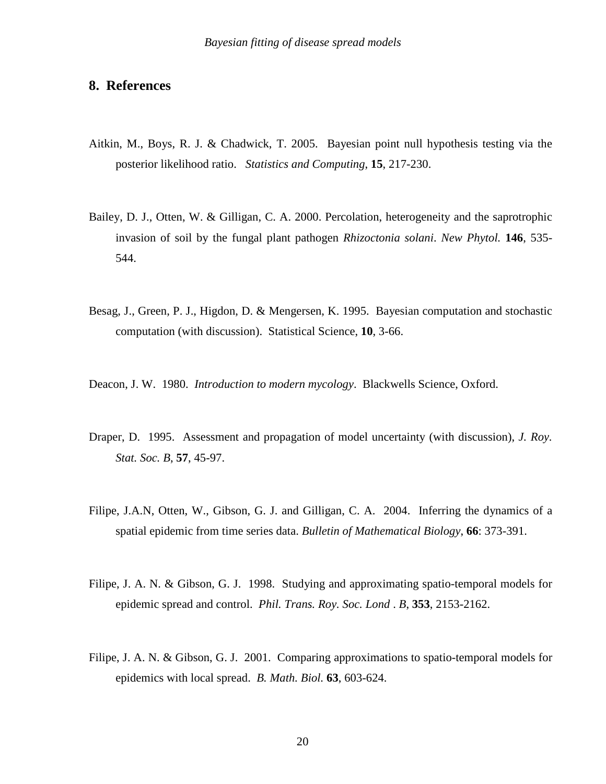# **8. References**

- Aitkin, M., Boys, R. J. & Chadwick, T. 2005. Bayesian point null hypothesis testing via the posterior likelihood ratio. *Statistics and Computing*, **15**, 217-230.
- Bailey, D. J., Otten, W. & Gilligan, C. A. 2000. Percolation, heterogeneity and the saprotrophic invasion of soil by the fungal plant pathogen *Rhizoctonia solani*. *New Phytol.* **146**, 535- 544.
- Besag, J., Green, P. J., Higdon, D. & Mengersen, K. 1995. Bayesian computation and stochastic computation (with discussion). Statistical Science, **10**, 3-66.
- Deacon, J. W. 1980. *Introduction to modern mycology*. Blackwells Science, Oxford.
- Draper, D. 1995. Assessment and propagation of model uncertainty (with discussion), *J. Roy. Stat. Soc. B*, **57**, 45-97.
- Filipe, J.A.N, Otten, W., Gibson, G. J. and Gilligan, C. A. 2004. Inferring the dynamics of a spatial epidemic from time series data. *Bulletin of Mathematical Biology*, **66**: 373-391.
- Filipe, J. A. N. & Gibson, G. J. 1998. Studying and approximating spatio-temporal models for epidemic spread and control. *Phil. Trans. Roy. Soc. Lond* . *B*, **353**, 2153-2162.
- Filipe, J. A. N. & Gibson, G. J. 2001. Comparing approximations to spatio-temporal models for epidemics with local spread. *B. Math. Biol.* **63**, 603-624.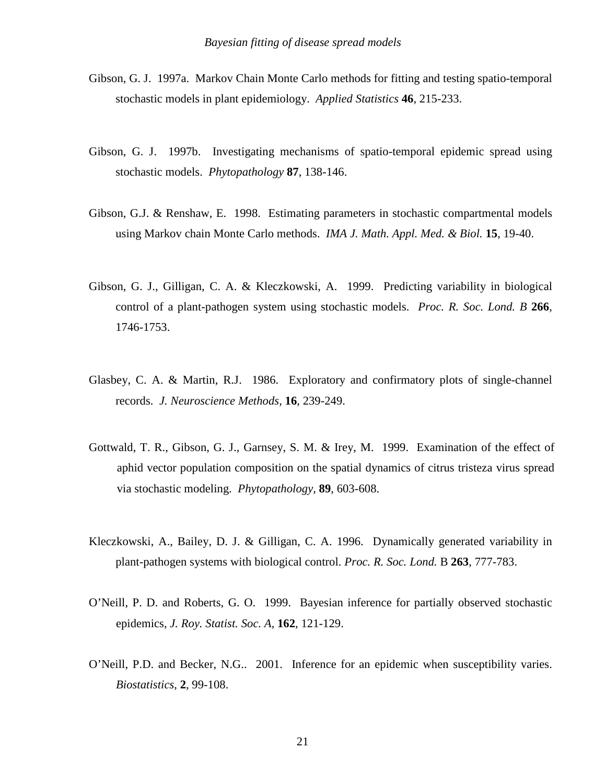- Gibson, G. J. 1997a. Markov Chain Monte Carlo methods for fitting and testing spatio-temporal stochastic models in plant epidemiology. *Applied Statistics* **46**, 215-233.
- Gibson, G. J. 1997b. Investigating mechanisms of spatio-temporal epidemic spread using stochastic models. *Phytopathology* **87**, 138-146.
- Gibson, G.J. & Renshaw, E. 1998. Estimating parameters in stochastic compartmental models using Markov chain Monte Carlo methods. *IMA J. Math. Appl. Med. & Biol.* **15**, 19-40.
- Gibson, G. J., Gilligan, C. A. & Kleczkowski, A. 1999. Predicting variability in biological control of a plant-pathogen system using stochastic models. *Proc. R. Soc. Lond. B* **266**, 1746-1753.
- Glasbey, C. A. & Martin, R.J. 1986. Exploratory and confirmatory plots of single-channel records. *J. Neuroscience Methods,* **16**, 239-249.
- Gottwald, T. R., Gibson, G. J., Garnsey, S. M. & Irey, M. 1999. Examination of the effect of aphid vector population composition on the spatial dynamics of citrus tristeza virus spread via stochastic modeling. *Phytopathology*, **89**, 603-608.
- Kleczkowski, A., Bailey, D. J. & Gilligan, C. A. 1996. Dynamically generated variability in plant-pathogen systems with biological control. *Proc. R. Soc. Lond.* B **263**, 777-783.
- O'Neill, P. D. and Roberts, G. O. 1999. Bayesian inference for partially observed stochastic epidemics, *J. Roy. Statist. Soc. A*, **162**, 121-129.
- O'Neill, P.D. and Becker, N.G.. 2001. Inference for an epidemic when susceptibility varies. *Biostatistics*, **2**, 99-108.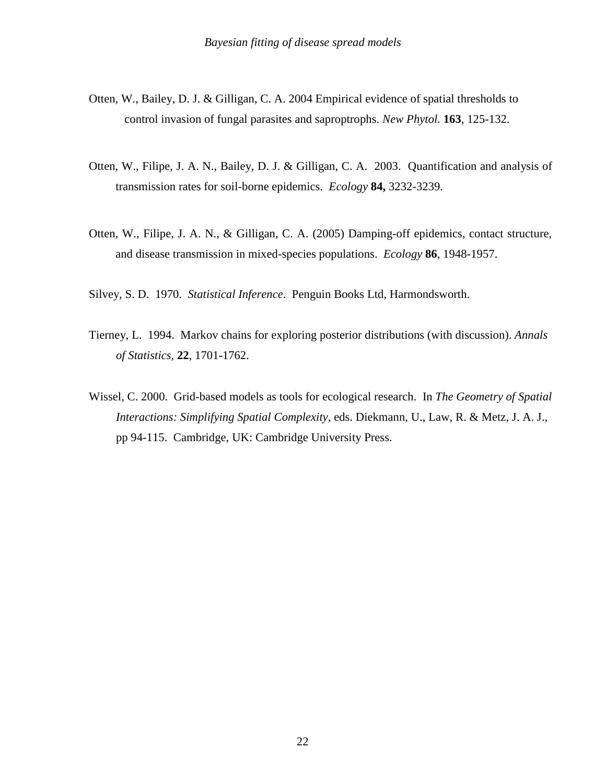- Otten, W., Bailey, D. J. & Gilligan, C. A. 2004 Empirical evidence of spatial thresholds to control invasion of fungal parasites and saproptrophs. *New Phytol.* **163**, 125-132.
- Otten, W., Filipe, J. A. N., Bailey, D. J. & Gilligan, C. A. 2003. Quantification and analysis of transmission rates for soil-borne epidemics. *Ecology* **84,** 3232-3239.
- Otten, W., Filipe, J. A. N., & Gilligan, C. A. (2005) Damping-off epidemics, contact structure, and disease transmission in mixed-species populations. *Ecology* **86**, 1948-1957.
- Silvey, S. D. 1970. *Statistical Inference*. Penguin Books Ltd, Harmondsworth.
- Tierney, L. 1994. Markov chains for exploring posterior distributions (with discussion). *Annals of Statistics*, **22**, 1701-1762.
- Wissel, C. 2000. Grid-based models as tools for ecological research. In *The Geometry of Spatial Interactions: Simplifying Spatial Complexity*, eds. Diekmann, U., Law, R. & Metz, J. A. J., pp 94-115. Cambridge, UK: Cambridge University Press.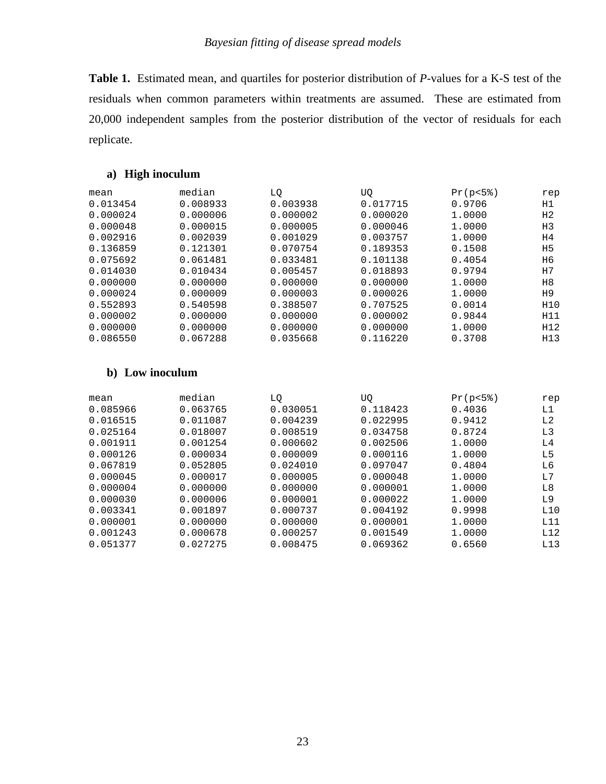**Table 1.** Estimated mean, and quartiles for posterior distribution of *P*-values for a K-S test of the residuals when common parameters within treatments are assumed. These are estimated from 20,000 independent samples from the posterior distribution of the vector of residuals for each replicate.

# **a) High inoculum**

| mean     | median   | LQ       | UQ       | Pr(p<5) | rep            |
|----------|----------|----------|----------|---------|----------------|
| 0.013454 | 0.008933 | 0.003938 | 0.017715 | 0.9706  | Η1             |
| 0.000024 | 0.000006 | 0.000002 | 0.000020 | 1,0000  | H <sub>2</sub> |
| 0.000048 | 0.000015 | 0.000005 | 0.000046 | 1,0000  | H3             |
| 0.002916 | 0.002039 | 0.001029 | 0.003757 | 1,0000  | H4             |
| 0.136859 | 0.121301 | 0.070754 | 0.189353 | 0.1508  | H <sub>5</sub> |
| 0.075692 | 0.061481 | 0.033481 | 0.101138 | 0.4054  | Hб             |
| 0.014030 | 0.010434 | 0.005457 | 0.018893 | 0.9794  | H7             |
| 0.000000 | 0.000000 | 0.000000 | 0.000000 | 1.0000  | H8             |
| 0.000024 | 0.000009 | 0.000003 | 0.000026 | 1.0000  | H9             |
| 0.552893 | 0.540598 | 0.388507 | 0.707525 | 0.0014  | H10            |
| 0.000002 | 0.000000 | 0.000000 | 0.000002 | 0.9844  | H11            |
| 0.000000 | 0.000000 | 0.000000 | 0.000000 | 1,0000  | H12            |
| 0.086550 | 0.067288 | 0.035668 | 0.116220 | 0.3708  | H13            |

# **b) Low inoculum**

| mean     | median   | LQ       | UQ       | Pr(p<5) | rep            |
|----------|----------|----------|----------|---------|----------------|
| 0.085966 | 0.063765 | 0.030051 | 0.118423 | 0.4036  | L1             |
| 0.016515 | 0.011087 | 0.004239 | 0.022995 | 0.9412  | L <sub>2</sub> |
| 0.025164 | 0.018007 | 0.008519 | 0.034758 | 0.8724  | L <sub>3</sub> |
| 0.001911 | 0.001254 | 0.000602 | 0.002506 | 1.0000  | L4             |
| 0.000126 | 0.000034 | 0.000009 | 0.000116 | 1.0000  | L5             |
| 0.067819 | 0.052805 | 0.024010 | 0.097047 | 0.4804  | L6             |
| 0.000045 | 0.000017 | 0.000005 | 0.000048 | 1.0000  | L7             |
| 0.000004 | 0.000000 | 0.000000 | 0.000001 | 1.0000  | L8             |
| 0.000030 | 0.000006 | 0.000001 | 0.000022 | 1.0000  | L9             |
| 0.003341 | 0.001897 | 0.000737 | 0.004192 | 0.9998  | L10            |
| 0.000001 | 0.000000 | 0.000000 | 0.000001 | 1,0000  | L11            |
| 0.001243 | 0.000678 | 0.000257 | 0.001549 | 1.0000  | L12            |
| 0.051377 | 0.027275 | 0.008475 | 0.069362 | 0.6560  | L13            |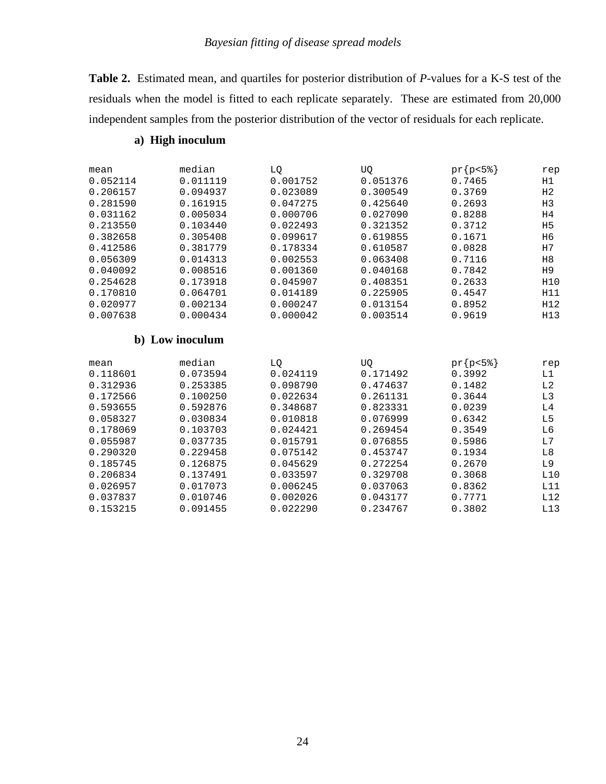**Table 2.** Estimated mean, and quartiles for posterior distribution of *P*-values for a K-S test of the residuals when the model is fitted to each replicate separately. These are estimated from 20,000 independent samples from the posterior distribution of the vector of residuals for each replicate.

# **a) High inoculum**

| mean     | median   | LQ       | UQ       | $pr{p<5*}$ | rep            |
|----------|----------|----------|----------|------------|----------------|
| 0.052114 | 0.011119 | 0.001752 | 0.051376 | 0.7465     | Η1             |
| 0.206157 | 0.094937 | 0.023089 | 0.300549 | 0.3769     | H <sub>2</sub> |
| 0.281590 | 0.161915 | 0.047275 | 0.425640 | 0.2693     | H3             |
| 0.031162 | 0.005034 | 0.000706 | 0.027090 | 0.8288     | H4             |
| 0.213550 | 0.103440 | 0.022493 | 0.321352 | 0.3712     | H <sub>5</sub> |
| 0.382658 | 0.305408 | 0.099617 | 0.619855 | 0.1671     | Hб             |
| 0.412586 | 0.381779 | 0.178334 | 0.610587 | 0.0828     | H7             |
| 0.056309 | 0.014313 | 0.002553 | 0.063408 | 0.7116     | H8             |
| 0.040092 | 0.008516 | 0.001360 | 0.040168 | 0.7842     | H9             |
| 0.254628 | 0.173918 | 0.045907 | 0.408351 | 0.2633     | H10            |
| 0.170810 | 0.064701 | 0.014189 | 0.225905 | 0.4547     | H11            |
| 0.020977 | 0.002134 | 0.000247 | 0.013154 | 0.8952     | H12            |
| 0.007638 | 0.000434 | 0.000042 | 0.003514 | 0.9619     | H13            |

# **b) Low inoculum**

| mean     | median   | LQ       | UQ       | $pr{p<5*}$ | rep |
|----------|----------|----------|----------|------------|-----|
| 0.118601 | 0.073594 | 0.024119 | 0.171492 | 0.3992     | L1  |
| 0.312936 | 0.253385 | 0.098790 | 0.474637 | 0.1482     | L2  |
| 0.172566 | 0.100250 | 0.022634 | 0.261131 | 0.3644     | L3  |
| 0.593655 | 0.592876 | 0.348687 | 0.823331 | 0.0239     | L4  |
| 0.058327 | 0.030834 | 0.010818 | 0.076999 | 0.6342     | L5  |
| 0.178069 | 0.103703 | 0.024421 | 0.269454 | 0.3549     | L6  |
| 0.055987 | 0.037735 | 0.015791 | 0.076855 | 0.5986     | L7  |
| 0.290320 | 0.229458 | 0.075142 | 0.453747 | 0.1934     | L8  |
| 0.185745 | 0.126875 | 0.045629 | 0.272254 | 0.2670     | L9  |
| 0.206834 | 0.137491 | 0.033597 | 0.329708 | 0.3068     | L10 |
| 0.026957 | 0.017073 | 0.006245 | 0.037063 | 0.8362     | L11 |
| 0.037837 | 0.010746 | 0.002026 | 0.043177 | 0.7771     | L12 |
| 0.153215 | 0.091455 | 0.022290 | 0.234767 | 0.3802     | L13 |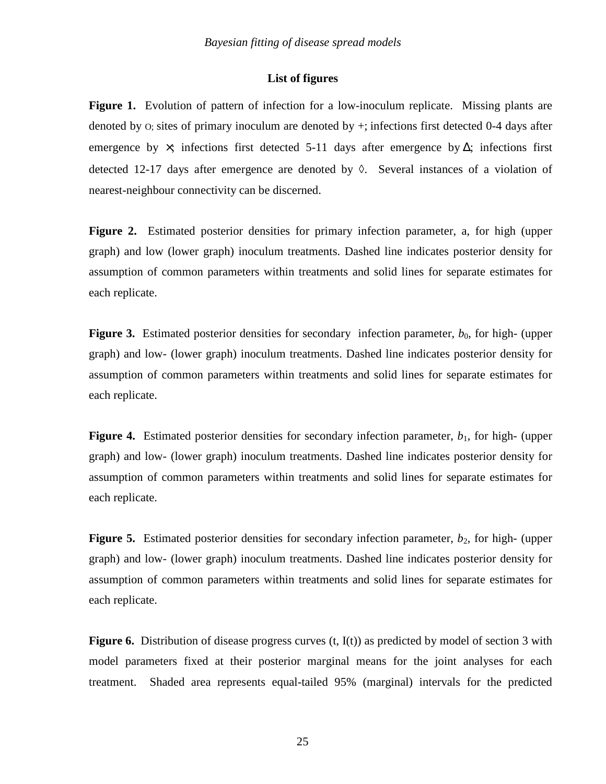#### **List of figures**

**Figure 1.** Evolution of pattern of infection for a low-inoculum replicate. Missing plants are denoted by O; sites of primary inoculum are denoted by +; infections first detected 0-4 days after emergence by  $\times$ ; infections first detected 5-11 days after emergence by  $\Delta$ ; infections first detected 12-17 days after emergence are denoted by  $\Diamond$ . Several instances of a violation of nearest-neighbour connectivity can be discerned.

**Figure 2.** Estimated posterior densities for primary infection parameter, a, for high (upper graph) and low (lower graph) inoculum treatments. Dashed line indicates posterior density for assumption of common parameters within treatments and solid lines for separate estimates for each replicate.

**Figure 3.** Estimated posterior densities for secondary infection parameter,  $b_0$ , for high- (upper graph) and low- (lower graph) inoculum treatments. Dashed line indicates posterior density for assumption of common parameters within treatments and solid lines for separate estimates for each replicate.

**Figure 4.** Estimated posterior densities for secondary infection parameter,  $b_1$ , for high- (upper graph) and low- (lower graph) inoculum treatments. Dashed line indicates posterior density for assumption of common parameters within treatments and solid lines for separate estimates for each replicate.

**Figure 5.** Estimated posterior densities for secondary infection parameter,  $b_2$ , for high- (upper graph) and low- (lower graph) inoculum treatments. Dashed line indicates posterior density for assumption of common parameters within treatments and solid lines for separate estimates for each replicate.

**Figure 6.** Distribution of disease progress curves  $(t, I(t))$  as predicted by model of section 3 with model parameters fixed at their posterior marginal means for the joint analyses for each treatment. Shaded area represents equal-tailed 95% (marginal) intervals for the predicted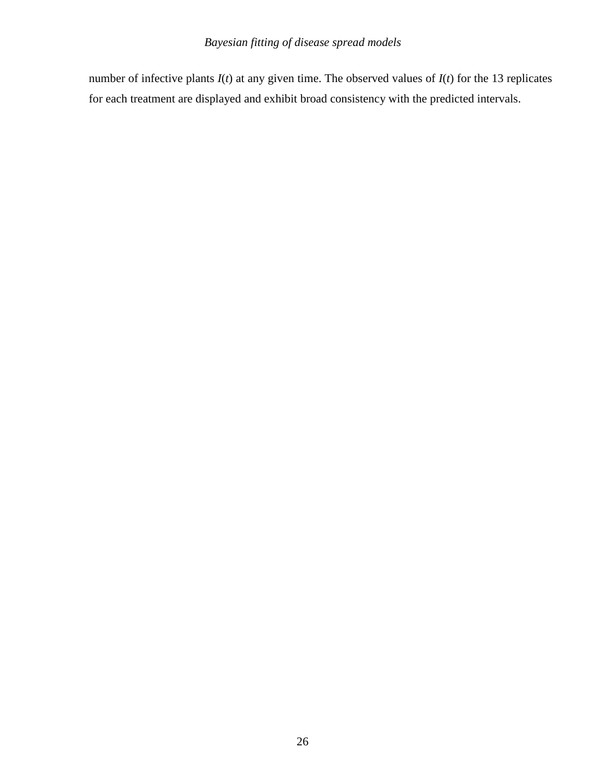number of infective plants *I*(*t*) at any given time. The observed values of *I*(*t*) for the 13 replicates for each treatment are displayed and exhibit broad consistency with the predicted intervals.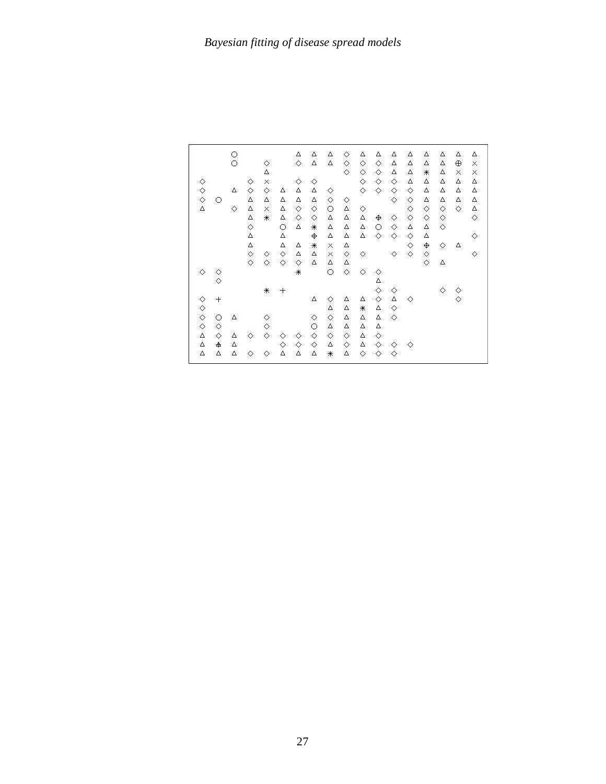|                                                                                                                                                                                                                                                                                                                                                     |                                                              | $\circ$                                                     |            |                                                                                                      |                                                                                                                                                                                                                                                                                                                                         |                                                            |                                                                                                                                                          | $\Delta$                                                                 | $\diamond \diamond$                                                                                                           |                                                                                                                                                                                 |                                                                                                                         |                                                                                                         |            |             |              | $\Delta \oplus \times \Delta \wedge$ | $\begin{array}{ccc} \Delta \times \times \Delta \, \Delta \, \Delta \, \Delta \, \Delta \, \diamondsuit & \diamondsuit \end{array} \quad \diamondsuit$ |
|-----------------------------------------------------------------------------------------------------------------------------------------------------------------------------------------------------------------------------------------------------------------------------------------------------------------------------------------------------|--------------------------------------------------------------|-------------------------------------------------------------|------------|------------------------------------------------------------------------------------------------------|-----------------------------------------------------------------------------------------------------------------------------------------------------------------------------------------------------------------------------------------------------------------------------------------------------------------------------------------|------------------------------------------------------------|----------------------------------------------------------------------------------------------------------------------------------------------------------|--------------------------------------------------------------------------|-------------------------------------------------------------------------------------------------------------------------------|---------------------------------------------------------------------------------------------------------------------------------------------------------------------------------|-------------------------------------------------------------------------------------------------------------------------|---------------------------------------------------------------------------------------------------------|------------|-------------|--------------|--------------------------------------|--------------------------------------------------------------------------------------------------------------------------------------------------------|
|                                                                                                                                                                                                                                                                                                                                                     |                                                              |                                                             |            |                                                                                                      |                                                                                                                                                                                                                                                                                                                                         |                                                            |                                                                                                                                                          |                                                                          |                                                                                                                               |                                                                                                                                                                                 |                                                                                                                         |                                                                                                         |            |             |              |                                      |                                                                                                                                                        |
|                                                                                                                                                                                                                                                                                                                                                     |                                                              |                                                             |            |                                                                                                      |                                                                                                                                                                                                                                                                                                                                         |                                                            |                                                                                                                                                          |                                                                          |                                                                                                                               |                                                                                                                                                                                 |                                                                                                                         |                                                                                                         |            |             |              |                                      |                                                                                                                                                        |
|                                                                                                                                                                                                                                                                                                                                                     |                                                              |                                                             |            |                                                                                                      |                                                                                                                                                                                                                                                                                                                                         |                                                            |                                                                                                                                                          |                                                                          |                                                                                                                               |                                                                                                                                                                                 |                                                                                                                         |                                                                                                         |            |             |              |                                      |                                                                                                                                                        |
|                                                                                                                                                                                                                                                                                                                                                     |                                                              |                                                             |            |                                                                                                      |                                                                                                                                                                                                                                                                                                                                         |                                                            |                                                                                                                                                          |                                                                          |                                                                                                                               |                                                                                                                                                                                 |                                                                                                                         |                                                                                                         |            |             |              |                                      |                                                                                                                                                        |
|                                                                                                                                                                                                                                                                                                                                                     | $\circ$                                                      | $\begin{array}{c}\n\Delta \\ \Diamond\n\end{array}$         |            |                                                                                                      |                                                                                                                                                                                                                                                                                                                                         |                                                            |                                                                                                                                                          |                                                                          |                                                                                                                               |                                                                                                                                                                                 |                                                                                                                         |                                                                                                         |            |             |              |                                      |                                                                                                                                                        |
| $\begin{picture}(160,170) \put(0,0){\line(1,0){10}} \put(10,0){\line(1,0){10}} \put(10,0){\line(1,0){10}} \put(10,0){\line(1,0){10}} \put(10,0){\line(1,0){10}} \put(10,0){\line(1,0){10}} \put(10,0){\line(1,0){10}} \put(10,0){\line(1,0){10}} \put(10,0){\line(1,0){10}} \put(10,0){\line(1,0){10}} \put(10,0){\line(1,0){10}} \put(10,0){\line$ |                                                              |                                                             |            |                                                                                                      |                                                                                                                                                                                                                                                                                                                                         |                                                            |                                                                                                                                                          |                                                                          |                                                                                                                               |                                                                                                                                                                                 |                                                                                                                         |                                                                                                         |            |             |              |                                      |                                                                                                                                                        |
|                                                                                                                                                                                                                                                                                                                                                     |                                                              |                                                             |            | $\diamond$ $\triangle$ $\times$ $\diamond$ $\triangle$ $\times$ $\star$                              |                                                                                                                                                                                                                                                                                                                                         |                                                            |                                                                                                                                                          |                                                                          |                                                                                                                               |                                                                                                                                                                                 |                                                                                                                         |                                                                                                         |            |             |              |                                      |                                                                                                                                                        |
|                                                                                                                                                                                                                                                                                                                                                     |                                                              |                                                             |            |                                                                                                      |                                                                                                                                                                                                                                                                                                                                         |                                                            |                                                                                                                                                          |                                                                          |                                                                                                                               |                                                                                                                                                                                 |                                                                                                                         |                                                                                                         |            |             |              |                                      |                                                                                                                                                        |
|                                                                                                                                                                                                                                                                                                                                                     |                                                              |                                                             |            |                                                                                                      |                                                                                                                                                                                                                                                                                                                                         |                                                            | $\begin{array}{lcl} \Delta \; \Delta & \diamondsuit \; \Delta \; \Delta \; \diamondsuit \; \hat{} \star \; \Phi & \star \; \Delta \; \Delta \end{array}$ | ◇◇○△△△×△○                                                                | $\begin{array}{c} \diamondsuit \; \Delta \; \Delta \; \Delta \; \Delta \; \diamondsuit \; \Delta \; \diamondsuit \end{array}$ | $\begin{array}{ccccc}\n\Delta & \diamond & \diamond & \diamond & \diamond & \diamond & \diamond & \diamond & \diamond & \diamond & \diamond & \diamond & \diamond\n\end{array}$ | $\begin{array}{cc}\n\circ & \circ & \circ & \circ \\ \circ & \circ & \circ & \circ\n\end{array}$                        |                                                                                                         |            | $\triangle$ | AAAAAA◇◇ ◇ A |                                      |                                                                                                                                                        |
|                                                                                                                                                                                                                                                                                                                                                     |                                                              |                                                             |            |                                                                                                      |                                                                                                                                                                                                                                                                                                                                         |                                                            |                                                                                                                                                          |                                                                          |                                                                                                                               |                                                                                                                                                                                 |                                                                                                                         |                                                                                                         |            |             |              | $\Delta$                             |                                                                                                                                                        |
|                                                                                                                                                                                                                                                                                                                                                     |                                                              |                                                             |            |                                                                                                      |                                                                                                                                                                                                                                                                                                                                         |                                                            |                                                                                                                                                          |                                                                          |                                                                                                                               |                                                                                                                                                                                 |                                                                                                                         |                                                                                                         |            |             |              |                                      |                                                                                                                                                        |
|                                                                                                                                                                                                                                                                                                                                                     |                                                              |                                                             |            | $\diamond$                                                                                           |                                                                                                                                                                                                                                                                                                                                         |                                                            |                                                                                                                                                          |                                                                          |                                                                                                                               |                                                                                                                                                                                 |                                                                                                                         |                                                                                                         |            |             |              |                                      |                                                                                                                                                        |
| $\Diamond$                                                                                                                                                                                                                                                                                                                                          |                                                              |                                                             |            |                                                                                                      |                                                                                                                                                                                                                                                                                                                                         |                                                            |                                                                                                                                                          |                                                                          |                                                                                                                               |                                                                                                                                                                                 |                                                                                                                         |                                                                                                         |            |             |              |                                      |                                                                                                                                                        |
|                                                                                                                                                                                                                                                                                                                                                     | $\Diamond$                                                   |                                                             |            |                                                                                                      |                                                                                                                                                                                                                                                                                                                                         |                                                            |                                                                                                                                                          |                                                                          |                                                                                                                               |                                                                                                                                                                                 |                                                                                                                         |                                                                                                         |            |             |              |                                      |                                                                                                                                                        |
|                                                                                                                                                                                                                                                                                                                                                     |                                                              |                                                             |            |                                                                                                      |                                                                                                                                                                                                                                                                                                                                         |                                                            |                                                                                                                                                          |                                                                          |                                                                                                                               |                                                                                                                                                                                 | $\begin{aligned} \diamondsuit & \diamondsuit & \diamondsuit & \diamondsuit & \diamondsuit & \diamondsuit \end{aligned}$ | $\begin{aligned} \diamondsuit \quad & \diamondsuit \quad \diamondsuit \quad \diamondsuit \end{aligned}$ |            |             | $\Diamond$   | $\Diamond$                           |                                                                                                                                                        |
|                                                                                                                                                                                                                                                                                                                                                     |                                                              |                                                             |            | $*$                                                                                                  | $\ddagger$                                                                                                                                                                                                                                                                                                                              |                                                            |                                                                                                                                                          |                                                                          |                                                                                                                               |                                                                                                                                                                                 |                                                                                                                         |                                                                                                         |            |             |              |                                      |                                                                                                                                                        |
|                                                                                                                                                                                                                                                                                                                                                     |                                                              |                                                             |            |                                                                                                      |                                                                                                                                                                                                                                                                                                                                         |                                                            |                                                                                                                                                          |                                                                          |                                                                                                                               |                                                                                                                                                                                 |                                                                                                                         |                                                                                                         | $\Diamond$ |             |              |                                      |                                                                                                                                                        |
|                                                                                                                                                                                                                                                                                                                                                     |                                                              |                                                             |            |                                                                                                      |                                                                                                                                                                                                                                                                                                                                         |                                                            |                                                                                                                                                          |                                                                          |                                                                                                                               |                                                                                                                                                                                 |                                                                                                                         |                                                                                                         |            |             |              |                                      |                                                                                                                                                        |
|                                                                                                                                                                                                                                                                                                                                                     |                                                              |                                                             |            |                                                                                                      |                                                                                                                                                                                                                                                                                                                                         |                                                            |                                                                                                                                                          |                                                                          |                                                                                                                               |                                                                                                                                                                                 |                                                                                                                         |                                                                                                         |            |             |              |                                      |                                                                                                                                                        |
|                                                                                                                                                                                                                                                                                                                                                     |                                                              |                                                             |            |                                                                                                      |                                                                                                                                                                                                                                                                                                                                         |                                                            |                                                                                                                                                          |                                                                          |                                                                                                                               |                                                                                                                                                                                 |                                                                                                                         |                                                                                                         |            |             |              |                                      |                                                                                                                                                        |
| $\begin{aligned} \diamondsuit \diamondsuit \diamondsuit \diamondsuit \diamondsuit \diamondsuit \end{aligned}$                                                                                                                                                                                                                                       | $+$ 0 $\Diamond$ $\Diamond$ $\Diamond$ $\Diamond$ $\Diamond$ | $\begin{array}{c}\n\Delta \\ \Delta \\ \Delta\n\end{array}$ | $\Diamond$ | $\begin{array}{ccccc}\n&\Diamond &\Diamond &\Diamond\n\\ &\Diamond &\Diamond &\Diamond\n\end{array}$ | $\begin{picture}(160,170) \put(0,0){\line(1,0){150}} \put(150,0){\line(1,0){150}} \put(150,0){\line(1,0){150}} \put(150,0){\line(1,0){150}} \put(150,0){\line(1,0){150}} \put(150,0){\line(1,0){150}} \put(150,0){\line(1,0){150}} \put(150,0){\line(1,0){150}} \put(150,0){\line(1,0){150}} \put(150,0){\line(1,0){150}} \put(150,0){$ | $\begin{aligned} &\diamondsuit \diamondsuit \end{aligned}$ | $\begin{array}{ccccc}\n\triangleright & \diamond & \diamond & \circ & \circ \\ \circ & \diamond & \diamond & \circ & \circ\n\end{array}$                 | $\diamond$ $\triangle$ $\diamond$ $\triangle$ $\diamond$ $\triangle$ $*$ | $\begin{array}{c}\n\triangle \\ \triangle \\ \triangle \\ \triangle \\ \triangle\n\end{array}$                                | $\Delta * \Delta \Delta \Delta \Delta \diamond$                                                                                                                                 |                                                                                                                         | $\Diamond$                                                                                              |            |             |              |                                      |                                                                                                                                                        |
|                                                                                                                                                                                                                                                                                                                                                     |                                                              |                                                             |            |                                                                                                      |                                                                                                                                                                                                                                                                                                                                         |                                                            |                                                                                                                                                          |                                                                          |                                                                                                                               |                                                                                                                                                                                 |                                                                                                                         |                                                                                                         | ♦          |             |              |                                      |                                                                                                                                                        |
|                                                                                                                                                                                                                                                                                                                                                     |                                                              |                                                             |            |                                                                                                      |                                                                                                                                                                                                                                                                                                                                         |                                                            |                                                                                                                                                          |                                                                          |                                                                                                                               |                                                                                                                                                                                 |                                                                                                                         |                                                                                                         |            |             |              |                                      |                                                                                                                                                        |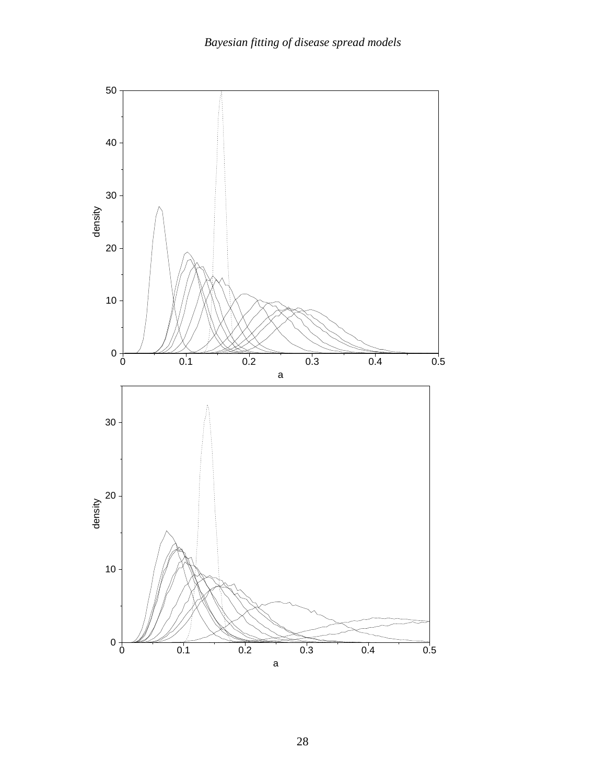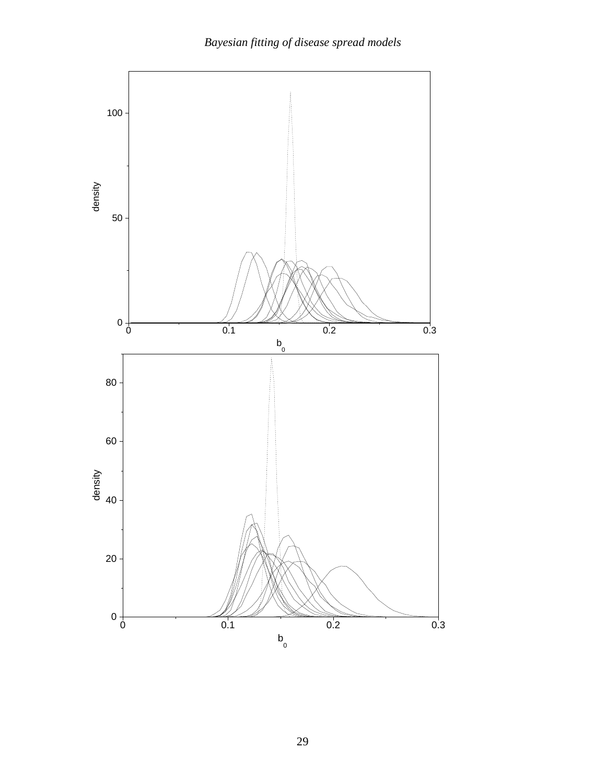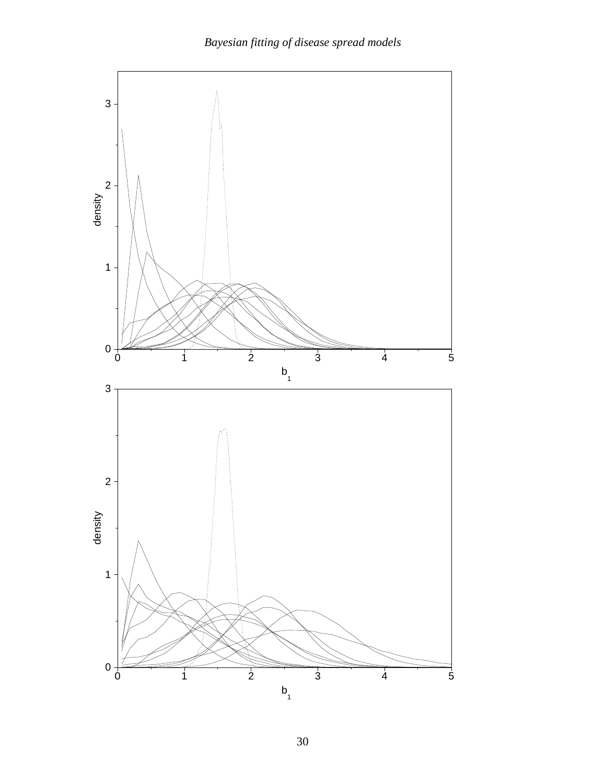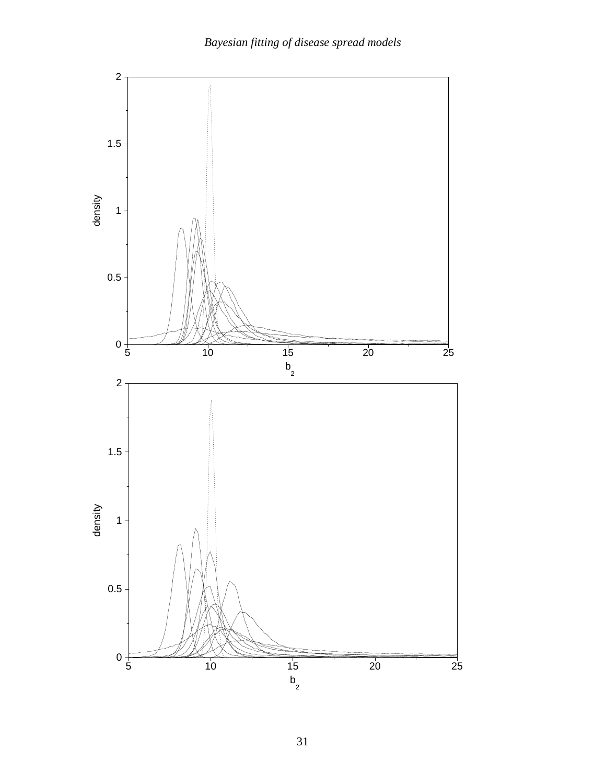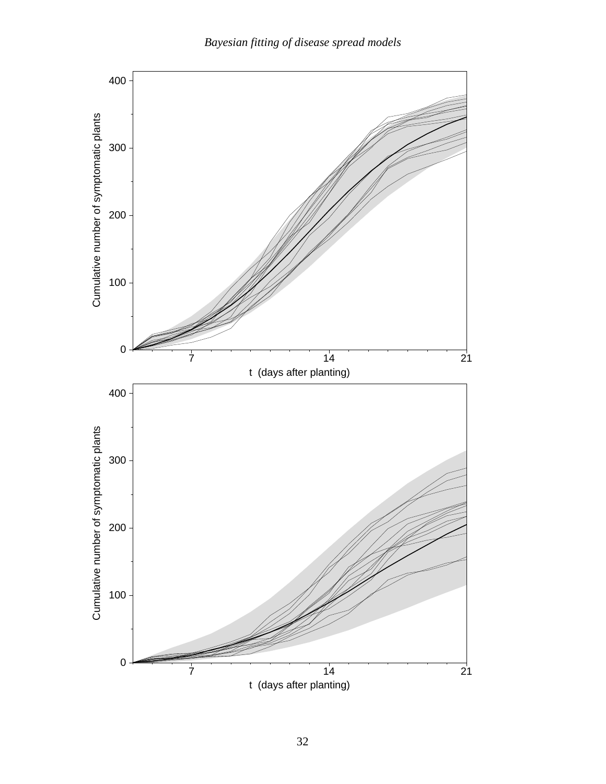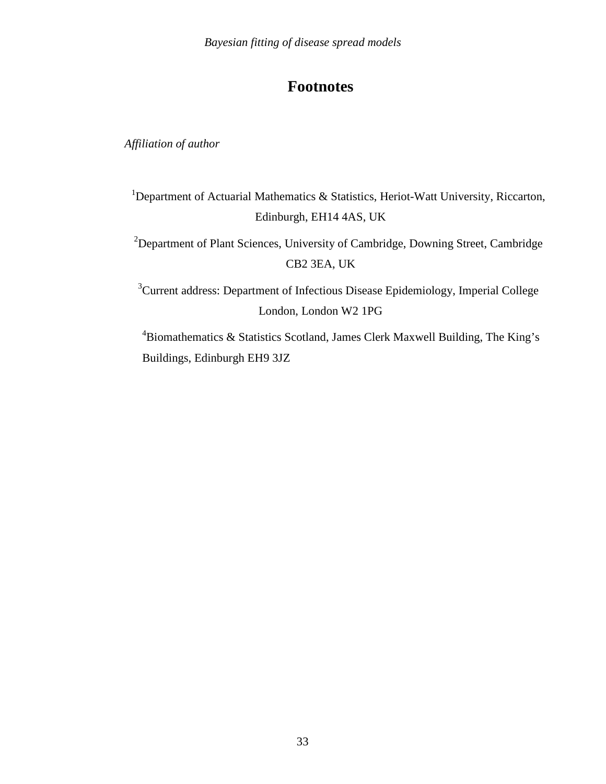*Bayesian fitting of disease spread models* 

# **Footnotes**

*Affiliation of author* 

<sup>1</sup>Department of Actuarial Mathematics & Statistics, Heriot-Watt University, Riccarton, Edinburgh, EH14 4AS, UK

<sup>2</sup>Department of Plant Sciences, University of Cambridge, Downing Street, Cambridge CB2 3EA, UK

<sup>3</sup>Current address: Department of Infectious Disease Epidemiology, Imperial College London, London W2 1PG

<sup>4</sup>Biomathematics & Statistics Scotland, James Clerk Maxwell Building, The King's Buildings, Edinburgh EH9 3JZ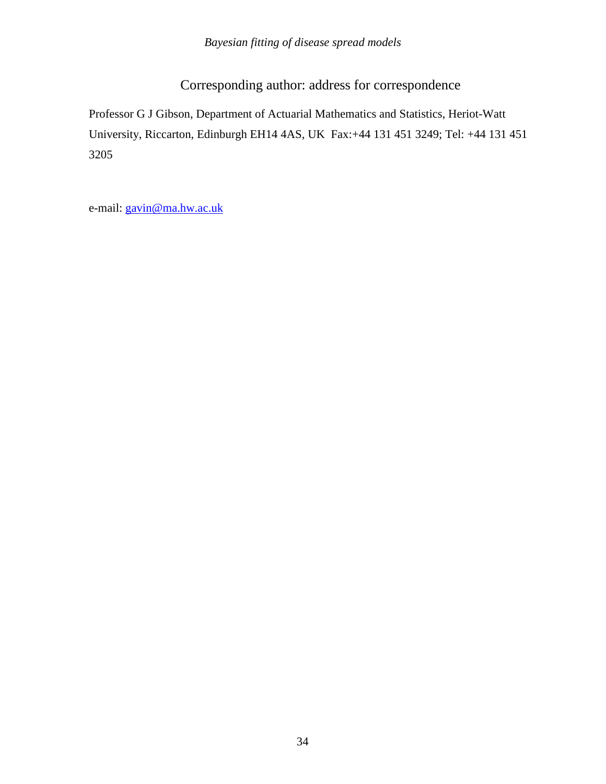Corresponding author: address for correspondence

Professor G J Gibson, Department of Actuarial Mathematics and Statistics, Heriot-Watt University, Riccarton, Edinburgh EH14 4AS, UK Fax:+44 131 451 3249; Tel: +44 131 451 3205

e-mail: gavin@ma.hw.ac.uk